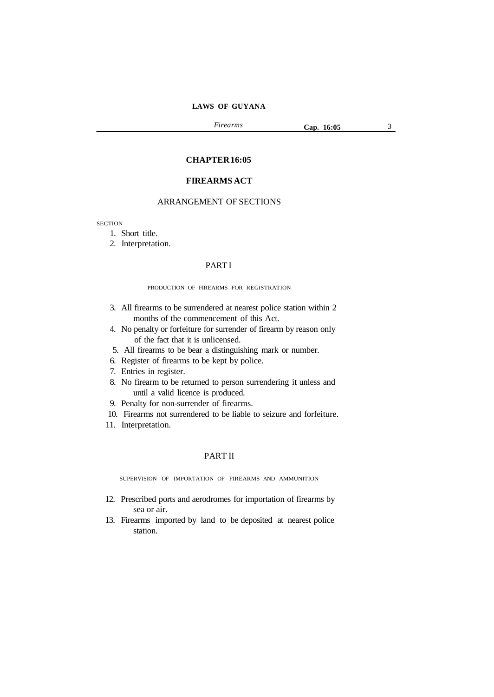*Firearms* **Cap. 16:05** 3

#### **CHAPTER16:05**

## **FIREARMS ACT**

## ARRANGEMENT OF SECTIONS

**SECTION** 

- 1. Short title.
- 2. Interpretation.

## **PARTI**

#### PRODUCTION OF FIREARMS FOR REGISTRATION

- 3. All firearms to be surrendered at nearest police station within 2 months of the commencement of this Act.
- 4. No penalty or forfeiture for surrender of firearm by reason only of the fact that it is unlicensed.
- 5. All firearms to be bear a distinguishing mark or number.
- 6. Register of firearms to be kept by police.
- 7. Entries in register.
- 8. No firearm to be returned to person surrendering it unless and until a valid licence is produced.
- 9. Penalty for non-surrender of firearms.
- 10. Firearms not surrendered to be liable to seizure and forfeiture.
- 11. Interpretation.

## PART II

SUPERVISION OF IMPORTATION OF FIREARMS AND AMMUNITION

- 12. Prescribed ports and aerodromes for importation of firearms by sea or air.
- 13. Firearms imported by land to be deposited at nearest police station.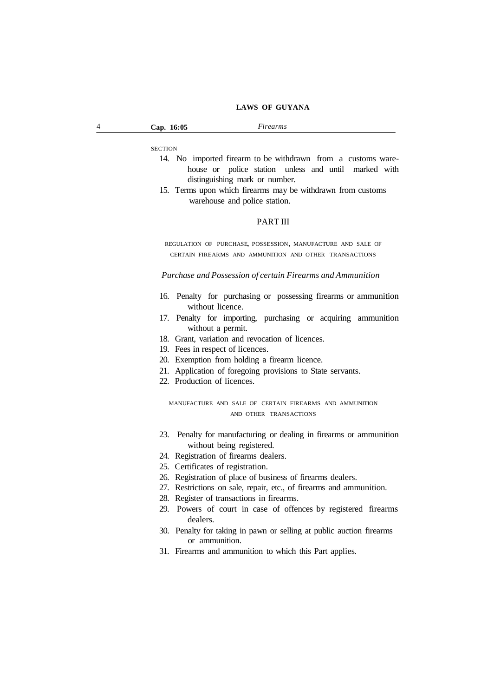**SECTION** 

- 14. No imported firearm to be withdrawn from a customs warehouse or police station unless and until marked with distinguishing mark or number.
- 15. Terms upon which firearms may be withdrawn from customs warehouse and police station.

#### PART III

REGULATION OF PURCHASE, POSSESSION, MANUFACTURE AND SALE OF CERTAIN FIREARMS AND AMMUNITION AND OTHER TRANSACTIONS

*Purchase and Possession of certain Firearms and Ammunition*

- 16. Penalty for purchasing or possessing firearms or ammunition without licence.
- 17. Penalty for importing, purchasing or acquiring ammunition without a permit.
- 18. Grant, variation and revocation of licences.
- 19. Fees in respect of licences.
- 20. Exemption from holding a firearm licence.
- 21. Application of foregoing provisions to State servants.
- 22. Production of licences.

MANUFACTURE AND SALE OF CERTAIN FIREARMS AND AMMUNITION AND OTHER TRANSACTIONS

- 23. Penalty for manufacturing or dealing in firearms or ammunition without being registered.
- 24. Registration of firearms dealers.
- 25. Certificates of registration.
- 26. Registration of place of business of firearms dealers.
- 27. Restrictions on sale, repair, etc., of firearms and ammunition.
- 28. Register of transactions in firearms.
- 29. Powers of court in case of offences by registered firearms dealers.
- 30. Penalty for taking in pawn or selling at public auction firearms or ammunition.
- 31. Firearms and ammunition to which this Part applies.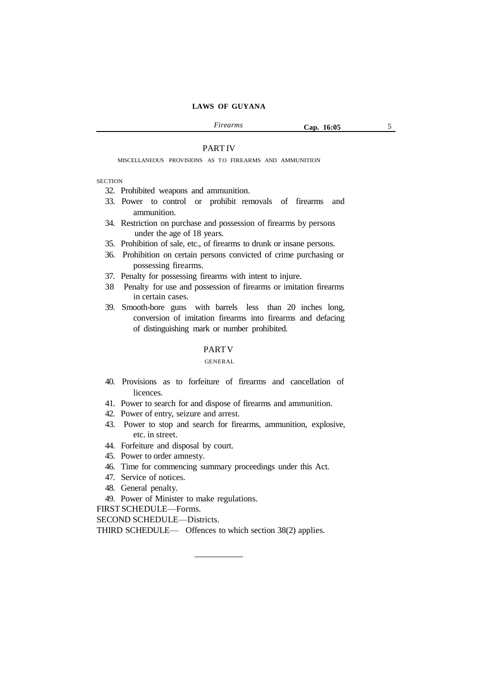#### PART IV

MISCELLANEOUS PROVISIONS AS TO FIREARMS AND AMMUNITION

**SECTION** 

32. Prohibited weapons and ammunition.

- 33. Power to control or prohibit removals of firearms and ammunition.
- 34. Restriction on purchase and possession of firearms by persons under the age of 18 years.
- 35. Prohibition of sale, etc., of firearms to drunk or insane persons.
- 36. Prohibition on certain persons convicted of crime purchasing or possessing firearms.
- 37. Penalty for possessing firearms with intent to injure.
- 38 Penalty for use and possession of firearms or imitation firearms in certain cases.
- 39. Smooth-bore guns with barrels less than 20 inches long, conversion of imitation firearms into firearms and defacing of distinguishing mark or number prohibited.

## PARTV

#### GENERAL

- 40. Provisions as to forfeiture of firearms and cancellation of licences.
- 41. Power to search for and dispose of firearms and ammunition.
- 42. Power of entry, seizure and arrest.
- 43. Power to stop and search for firearms, ammunition, explosive, etc. in street.
- 44. Forfeiture and disposal by court.
- 45. Power to order amnesty.
- 46. Time for commencing summary proceedings under this Act.
- 47. Service of notices.
- 48. General penalty.
- 49. Power of Minister to make regulations.

FIRST SCHEDULE—Forms.

SECOND SCHEDULE—Districts.

THIRD SCHEDULE— Offences to which section 38(2) applies.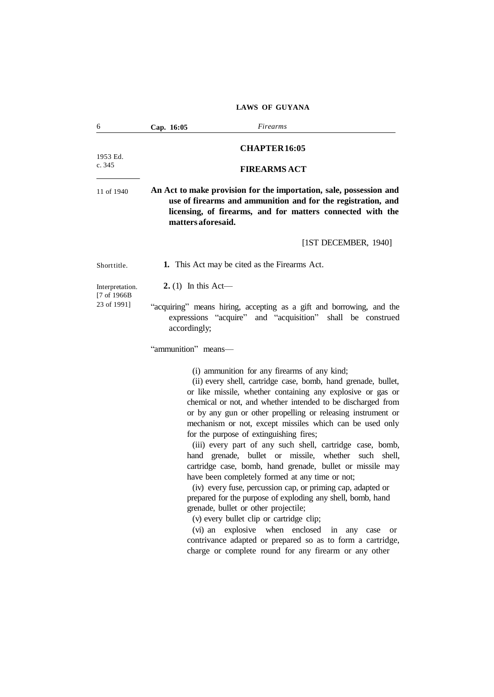| 6                               | Cap. 16:05                 | Firearms                                                                                                                                                                                                                                                                                                                                                                                                                                                                                                                                                                                                                                                                                                                                                                                                                                                                                                                                                                                                                                                                     |
|---------------------------------|----------------------------|------------------------------------------------------------------------------------------------------------------------------------------------------------------------------------------------------------------------------------------------------------------------------------------------------------------------------------------------------------------------------------------------------------------------------------------------------------------------------------------------------------------------------------------------------------------------------------------------------------------------------------------------------------------------------------------------------------------------------------------------------------------------------------------------------------------------------------------------------------------------------------------------------------------------------------------------------------------------------------------------------------------------------------------------------------------------------|
|                                 |                            | <b>CHAPTER16:05</b>                                                                                                                                                                                                                                                                                                                                                                                                                                                                                                                                                                                                                                                                                                                                                                                                                                                                                                                                                                                                                                                          |
| 1953 Ed.<br>c. 345              |                            |                                                                                                                                                                                                                                                                                                                                                                                                                                                                                                                                                                                                                                                                                                                                                                                                                                                                                                                                                                                                                                                                              |
|                                 |                            | <b>FIREARMS ACT</b>                                                                                                                                                                                                                                                                                                                                                                                                                                                                                                                                                                                                                                                                                                                                                                                                                                                                                                                                                                                                                                                          |
| 11 of 1940                      | matters aforesaid.         | An Act to make provision for the importation, sale, possession and<br>use of firearms and ammunition and for the registration, and<br>licensing, of firearms, and for matters connected with the                                                                                                                                                                                                                                                                                                                                                                                                                                                                                                                                                                                                                                                                                                                                                                                                                                                                             |
|                                 |                            | [ $1ST$ DECEMBER, $1940$ ]                                                                                                                                                                                                                                                                                                                                                                                                                                                                                                                                                                                                                                                                                                                                                                                                                                                                                                                                                                                                                                                   |
| Shorttitle.                     |                            | 1. This Act may be cited as the Firearms Act.                                                                                                                                                                                                                                                                                                                                                                                                                                                                                                                                                                                                                                                                                                                                                                                                                                                                                                                                                                                                                                |
| Interpretation.<br>[7 of 1966B] | <b>2.</b> (1) In this Act— |                                                                                                                                                                                                                                                                                                                                                                                                                                                                                                                                                                                                                                                                                                                                                                                                                                                                                                                                                                                                                                                                              |
| 23 of 1991]                     | accordingly;               | "acquiring" means hiring, accepting as a gift and borrowing, and the<br>expressions "acquire" and "acquisition" shall be construed                                                                                                                                                                                                                                                                                                                                                                                                                                                                                                                                                                                                                                                                                                                                                                                                                                                                                                                                           |
|                                 | "ammunition" means-        |                                                                                                                                                                                                                                                                                                                                                                                                                                                                                                                                                                                                                                                                                                                                                                                                                                                                                                                                                                                                                                                                              |
|                                 |                            | (i) ammunition for any firearms of any kind;<br>(ii) every shell, cartridge case, bomb, hand grenade, bullet,<br>or like missile, whether containing any explosive or gas or<br>chemical or not, and whether intended to be discharged from<br>or by any gun or other propelling or releasing instrument or<br>mechanism or not, except missiles which can be used only<br>for the purpose of extinguishing fires;<br>(iii) every part of any such shell, cartridge case, bomb,<br>hand grenade, bullet or missile, whether<br>such shell,<br>cartridge case, bomb, hand grenade, bullet or missile may<br>have been completely formed at any time or not;<br>(iv) every fuse, percussion cap, or priming cap, adapted or<br>prepared for the purpose of exploding any shell, bomb, hand<br>grenade, bullet or other projectile;<br>(v) every bullet clip or cartridge clip;<br>(vi) an explosive when enclosed<br>$\sin$<br>any<br>case<br><b>or</b><br>contrivance adapted or prepared so as to form a cartridge,<br>charge or complete round for any firearm or any other |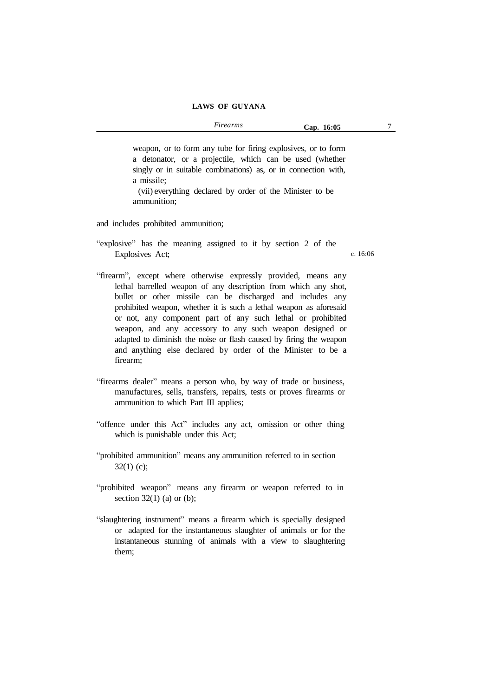weapon, or to form any tube for firing explosives, or to form a detonator, or a projectile, which can be used (whether singly or in suitable combinations) as, or in connection with, a missile;

(vii) everything declared by order of the Minister to be ammunition;

and includes prohibited ammunition;

"explosive" has the meaning assigned to it by section 2 of the Explosives Act;

c. 16:06

- "firearm", except where otherwise expressly provided, means any lethal barrelled weapon of any description from which any shot, bullet or other missile can be discharged and includes any prohibited weapon, whether it is such a lethal weapon as aforesaid or not, any component part of any such lethal or prohibited weapon, and any accessory to any such weapon designed or adapted to diminish the noise or flash caused by firing the weapon and anything else declared by order of the Minister to be a firearm;
- "firearms dealer" means a person who, by way of trade or business, manufactures, sells, transfers, repairs, tests or proves firearms or ammunition to which Part III applies;
- "offence under this Act" includes any act, omission or other thing which is punishable under this Act;
- "prohibited ammunition" means any ammunition referred to in section  $32(1)$  (c);
- "prohibited weapon" means any firearm or weapon referred to in section  $32(1)$  (a) or (b);
- "slaughtering instrument" means a firearm which is specially designed or adapted for the instantaneous slaughter of animals or for the instantaneous stunning of animals with a view to slaughtering them;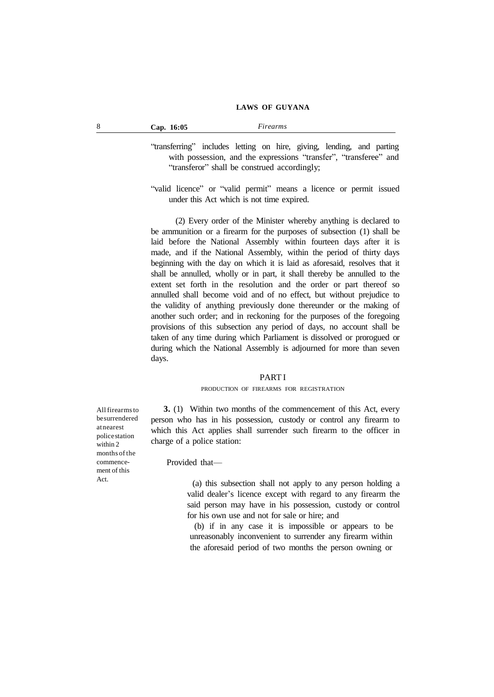| "transferring" includes letting on hire, giving, lending, and parting |                                                                   |  |  |  |  |
|-----------------------------------------------------------------------|-------------------------------------------------------------------|--|--|--|--|
|                                                                       | with possession, and the expressions "transfer", "transferee" and |  |  |  |  |
|                                                                       | "transferor" shall be construed accordingly;                      |  |  |  |  |

"valid licence" or "valid permit" means a licence or permit issued under this Act which is not time expired.

(2) Every order of the Minister whereby anything is declared to be ammunition or a firearm for the purposes of subsection (1) shall be laid before the National Assembly within fourteen days after it is made, and if the National Assembly, within the period of thirty days beginning with the day on which it is laid as aforesaid, resolves that it shall be annulled, wholly or in part, it shall thereby be annulled to the extent set forth in the resolution and the order or part thereof so annulled shall become void and of no effect, but without prejudice to the validity of anything previously done thereunder or the making of another such order; and in reckoning for the purposes of the foregoing provisions of this subsection any period of days, no account shall be taken of any time during which Parliament is dissolved or prorogued or during which the National Assembly is adjourned for more than seven days.

#### PART I

#### PRODUCTION OF FIREARMS FOR REGISTRATION

**3.** (1) Within two months of the commencement of this Act, every person who has in his possession, custody or control any firearm to which this Act applies shall surrender such firearm to the officer in charge of a police station:

Provided that—

(a) this subsection shall not apply to any person holding a valid dealer's licence except with regard to any firearm the said person may have in his possession, custody or control for his own use and not for sale or hire; and

(b) if in any case it is impossible or appears to be unreasonably inconvenient to surrender any firearm within the aforesaid period of two months the person owning or

All firearmsto besurrendered atnearest policestation within 2 months of the commencement of this Act.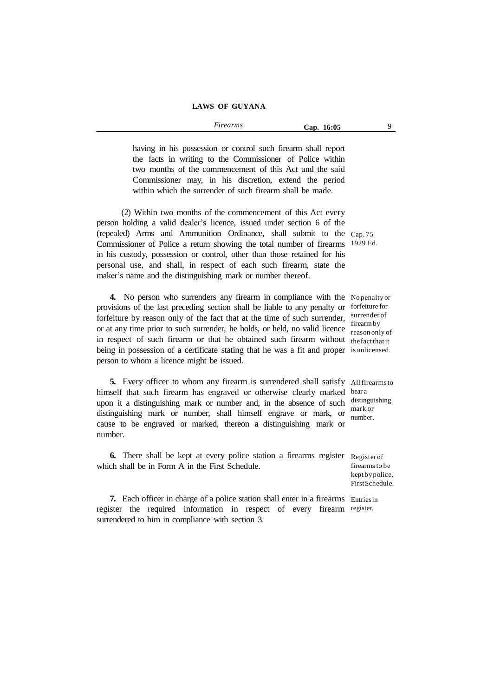having in his possession or control such firearm shall report the facts in writing to the Commissioner of Police within two months of the commencement of this Act and the said Commissioner may, in his discretion, extend the period within which the surrender of such firearm shall be made.

(2) Within two months of the commencement of this Act every person holding a valid dealer's licence, issued under section 6 of the (repealed) Arms and Ammunition Ordinance, shall submit to the Cap. 75 Commissioner of Police a return showing the total number of firearms 1929 Ed. in his custody, possession or control, other than those retained for his personal use, and shall, in respect of each such firearm, state the maker's name and the distinguishing mark or number thereof.

**4.** No person who surrenders any firearm in compliance with the No penalty or provisions of the last preceding section shall be liable to any penalty or forfeiture for forfeiture by reason only of the fact that at the time of such surrender, surrender of or at any time prior to such surrender, he holds, or held, no valid licence reasonable in respect of such firearm or that he obtained such firearm without thefactthatit being in possession of a certificate stating that he was a fit and proper is unlicensed. person to whom a licence might be issued.

5. Every officer to whom any firearm is surrendered shall satisfy All firearms to himself that such firearm has engraved or otherwise clearly marked beara upon it a distinguishing mark or number and, in the absence of such distinguishing distinguishing mark or number, shall himself engrave or mark, or number cause to be engraved or marked, thereon a distinguishing mark or number.

**6.** There shall be kept at every police station a firearms register Register of which shall be in Form A in the First Schedule.

**7.** Each officer in charge of a police station shall enter in a firearms Entriesin register the required information in respect of every firearm register.surrendered to him in compliance with section 3.

reason only of

number.

firearms to be kept bypolice. FirstSchedule.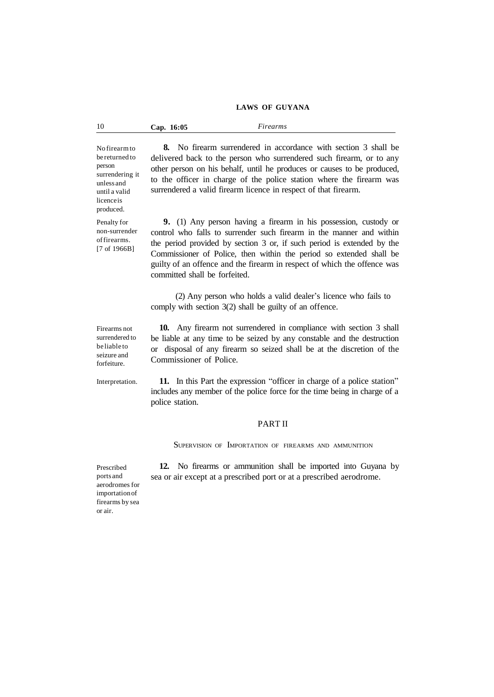| 10<br>Cap. 16:05 | Firearms |
|------------------|----------|
|------------------|----------|

No firearmto be returned to person surrendering it unless and until a valid licenceis produced.

Penalty for non-surrender offirearms. [7 of 1966B]

**8.** No firearm surrendered in accordance with section 3 shall be delivered back to the person who surrendered such firearm, or to any other person on his behalf, until he produces or causes to be produced, to the officer in charge of the police station where the firearm was surrendered a valid firearm licence in respect of that firearm.

**9.** (1) Any person having a firearm in his possession, custody or control who falls to surrender such firearm in the manner and within the period provided by section 3 or, if such period is extended by the Commissioner of Police, then within the period so extended shall be guilty of an offence and the firearm in respect of which the offence was committed shall be forfeited.

(2) Any person who holds a valid dealer's licence who fails to comply with section 3(2) shall be guilty of an offence.

Firearms not surrendered to be liable to seizure and forfeiture.

**10.** Any firearm not surrendered in compliance with section 3 shall be liable at any time to be seized by any constable and the destruction or disposal of any firearm so seized shall be at the discretion of the Commissioner of Police.

Interpretation.

**11.** In this Part the expression "officer in charge of a police station" includes any member of the police force for the time being in charge of a police station.

#### PART II

SUPERVISION OF IMPORTATION OF FIREARMS AND AMMUNITION

Prescribed ports and aerodromes for importationof firearms by sea or air.

**12.** No firearms or ammunition shall be imported into Guyana by sea or air except at a prescribed port or at a prescribed aerodrome.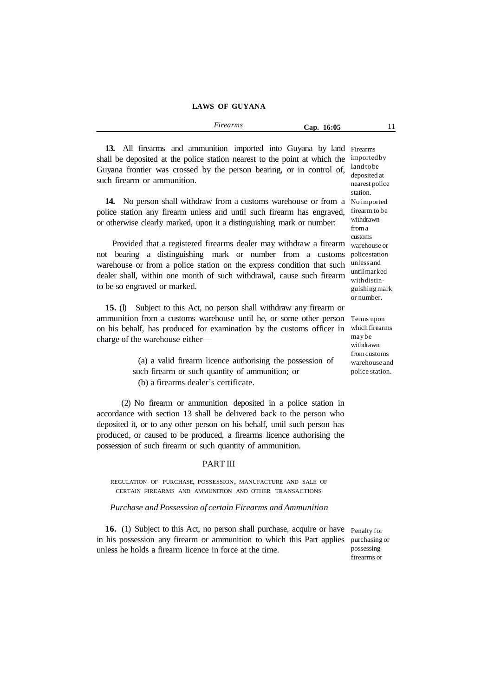| $\sim$<br>rms<br>r vre<br>. | 16:05<br>`an. |  |
|-----------------------------|---------------|--|
|                             |               |  |

**13.** All firearms and ammunition imported into Guyana by land Firearms shall be deposited at the police station nearest to the point at which the Guyana frontier was crossed by the person bearing, or in control of, such firearm or ammunition. importedby land tobe deposited at nearest police

14. No person shall withdraw from a customs warehouse or from a Noimported police station any firearm unless and until such firearm has engraved, or otherwise clearly marked, upon it a distinguishing mark or number:

Provided that a registered firearms dealer may withdraw a firearm warehouse or not bearing a distinguishing mark or number from a customs warehouse or from a police station on the express condition that such dealer shall, within one month of such withdrawal, cause such firearm to be so engraved or marked.

**15.** (l) Subject to this Act, no person shall withdraw any firearm or ammunition from a customs warehouse until he, or some other person on his behalf, has produced for examination by the customs officer in charge of the warehouse either—

> (a) a valid firearm licence authorising the possession of such firearm or such quantity of ammunition; or (b) a firearms dealer's certificate.

(2) No firearm or ammunition deposited in a police station in accordance with section 13 shall be delivered back to the person who deposited it, or to any other person on his behalf, until such person has produced, or caused to be produced, a firearms licence authorising the possession of such firearm or such quantity of ammunition.

#### PART III

REGULATION OF PURCHASE, POSSESSION, MANUFACTURE AND SALE OF CERTAIN FIREARMS AND AMMUNITION AND OTHER TRANSACTIONS

#### *Purchase and Possession of certain Firearms and Ammunition*

**16.** (1) Subject to this Act, no person shall purchase, acquire or have Penalty for in his possession any firearm or ammunition to which this Part applies purchasing or unless he holds a firearm licence in force at the time.

possessing firearms or

station. firearm to be withdrawn froma customs policestation unless and untilmarked withdistinguishingmark or number. Terms upon which firearms maybe

withdrawn fromcustoms warehouseand police station.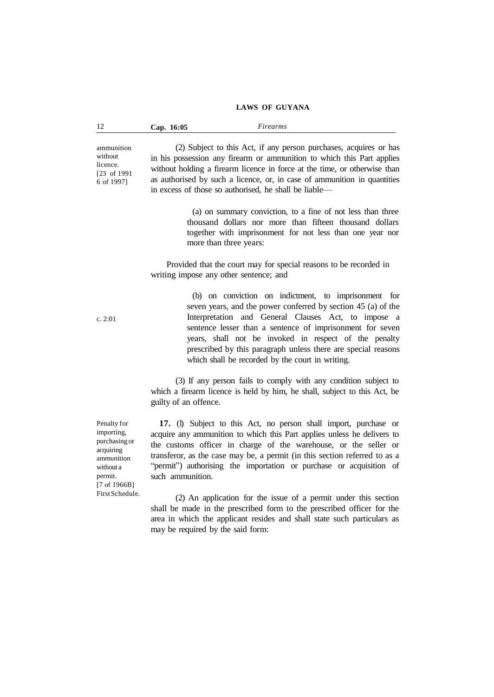| 12 | 16:05<br>$\bigcup$ ap | ms |
|----|-----------------------|----|
|    |                       |    |

ammunition without licence. [23 of 1991 6 of 1997]

(2) Subject to this Act, if any person purchases, acquires or has in his possession any firearm or ammunition to which this Part applies without holding a firearm licence in force at the time, or otherwise than as authorised by such a licence, or, in case of ammunition in quantities in excess of those so authorised, he shall be liable—

> (a) on summary conviction, to a fine of not less than three thousand dollars nor more than fifteen thousand dollars together with imprisonment for not less than one year nor more than three years:

Provided that the court may for special reasons to be recorded in writing impose any other sentence; and

> (b) on conviction on indictment, to imprisonment for seven years, and the power conferred by section 45 (a) of the Interpretation and General Clauses Act, to impose a sentence lesser than a sentence of imprisonment for seven years, shall not be invoked in respect of the penalty prescribed by this paragraph unless there are special reasons which shall be recorded by the court in writing.

(3) If any person fails to comply with any condition subject to which a firearm licence is held by him, he shall, subject to this Act, be guilty of an offence.

**17.** (l) Subject to this Act, no person shall import, purchase or acquire any ammunition to which this Part applies unless he delivers to the customs officer in charge of the warehouse, or the seller or transferor, as the case may be, a permit (in this section referred to as a "permit") authorising the importation or purchase or acquisition of such ammunition.

(2) An application for the issue of a permit under this section shall be made in the prescribed form to the prescribed officer for the area in which the applicant resides and shall state such particulars as may be required by the said form:

c. 2:01

Penalty for importing, purchasing or acquiring ammunition without a permit. [7 of 1966B] FirstSchedule.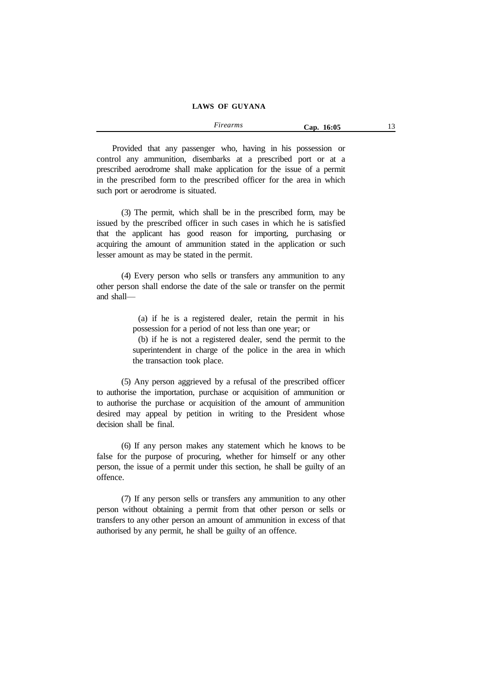*Firearms* **Cap. 16:05** 13

Provided that any passenger who, having in his possession or control any ammunition, disembarks at a prescribed port or at a prescribed aerodrome shall make application for the issue of a permit in the prescribed form to the prescribed officer for the area in which such port or aerodrome is situated.

(3) The permit, which shall be in the prescribed form, may be issued by the prescribed officer in such cases in which he is satisfied that the applicant has good reason for importing, purchasing or acquiring the amount of ammunition stated in the application or such lesser amount as may be stated in the permit.

(4) Every person who sells or transfers any ammunition to any other person shall endorse the date of the sale or transfer on the permit and shall—

> (a) if he is a registered dealer, retain the permit in his possession for a period of not less than one year; or

> (b) if he is not a registered dealer, send the permit to the superintendent in charge of the police in the area in which the transaction took place.

(5) Any person aggrieved by a refusal of the prescribed officer to authorise the importation, purchase or acquisition of ammunition or to authorise the purchase or acquisition of the amount of ammunition desired may appeal by petition in writing to the President whose decision shall be final.

(6) If any person makes any statement which he knows to be false for the purpose of procuring, whether for himself or any other person, the issue of a permit under this section, he shall be guilty of an offence.

(7) If any person sells or transfers any ammunition to any other person without obtaining a permit from that other person or sells or transfers to any other person an amount of ammunition in excess of that authorised by any permit, he shall be guilty of an offence.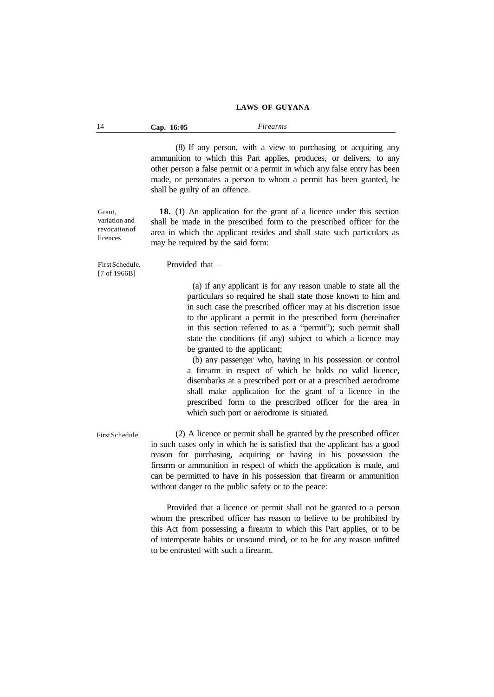| 14 | Cap. 16:05 | Firearms |  |
|----|------------|----------|--|
|----|------------|----------|--|

(8) If any person, with a view to purchasing or acquiring any ammunition to which this Part applies, produces, or delivers, to any other person a false permit or a permit in which any false entry has been made, or personates a person to whom a permit has been granted, he shall be guilty of an offence.

Grant, variation and revocationof licences.

**18.** (1) An application for the grant of a licence under this section shall be made in the prescribed form to the prescribed officer for the area in which the applicant resides and shall state such particulars as may be required by the said form:

FirstSchedule. [7 of 1966B]

Provided that—

(a) if any applicant is for any reason unable to state all the particulars so required he shall state those known to him and in such case the prescribed officer may at his discretion issue to the applicant a permit in the prescribed form (hereinafter in this section referred to as a "permit"); such permit shall state the conditions (if any) subject to which a licence may be granted to the applicant;

(b) any passenger who, having in his possession or control a firearm in respect of which he holds no valid licence, disembarks at a prescribed port or at a prescribed aerodrome shall make application for the grant of a licence in the prescribed form to the prescribed officer for the area in which such port or aerodrome is situated.

FirstSchedule.

(2) A licence or permit shall be granted by the prescribed officer in such cases only in which he is satisfied that the applicant has a good reason for purchasing, acquiring or having in his possession the firearm or ammunition in respect of which the application is made, and can be permitted to have in his possession that firearm or ammunition without danger to the public safety or to the peace:

Provided that a licence or permit shall not be granted to a person whom the prescribed officer has reason to believe to be prohibited by this Act from possessing a firearm to which this Part applies, or to be of intemperate habits or unsound mind, or to be for any reason unfitted to be entrusted with such a firearm.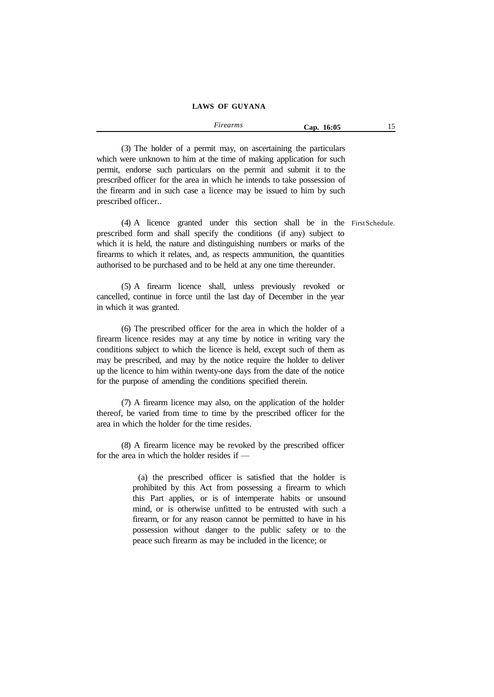*Firearms* **Cap. 16:05** 15

(3) The holder of a permit may, on ascertaining the particulars which were unknown to him at the time of making application for such permit, endorse such particulars on the permit and submit it to the prescribed officer for the area in which he intends to take possession of the firearm and in such case a licence may be issued to him by such prescribed officer..

(4) A licence granted under this section shall be in the FirstSchedule.prescribed form and shall specify the conditions (if any) subject to which it is held, the nature and distinguishing numbers or marks of the firearms to which it relates, and, as respects ammunition, the quantities authorised to be purchased and to be held at any one time thereunder.

(5) A firearm licence shall, unless previously revoked or cancelled, continue in force until the last day of December in the year in which it was granted.

(6) The prescribed officer for the area in which the holder of a firearm licence resides may at any time by notice in writing vary the conditions subject to which the licence is held, except such of them as may be prescribed, and may by the notice require the holder to deliver up the licence to him within twenty-one days from the date of the notice for the purpose of amending the conditions specified therein.

(7) A firearm licence may also, on the application of the holder thereof, be varied from time to time by the prescribed officer for the area in which the holder for the time resides.

(8) A firearm licence may be revoked by the prescribed officer for the area in which the holder resides if —

> (a) the prescribed officer is satisfied that the holder is prohibited by this Act from possessing a firearm to which this Part applies, or is of intemperate habits or unsound mind, or is otherwise unfitted to be entrusted with such a firearm, or for any reason cannot be permitted to have in his possession without danger to the public safety or to the peace such firearm as may be included in the licence; or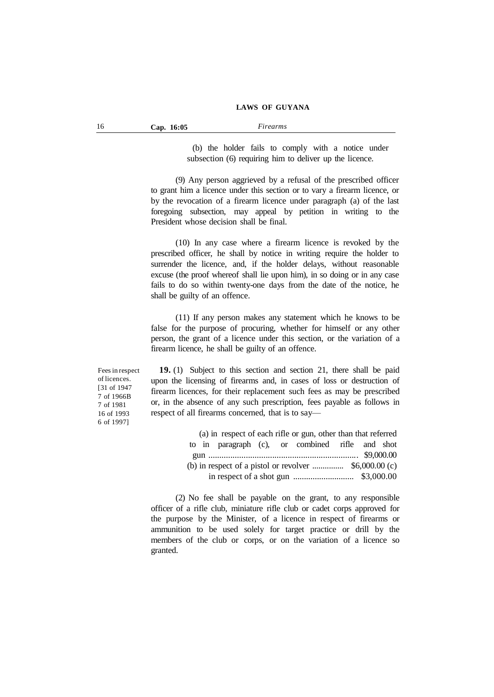(b) the holder fails to comply with a notice under subsection (6) requiring him to deliver up the licence.

(9) Any person aggrieved by a refusal of the prescribed officer to grant him a licence under this section or to vary a firearm licence, or by the revocation of a firearm licence under paragraph (a) of the last foregoing subsection, may appeal by petition in writing to the President whose decision shall be final.

(10) In any case where a firearm licence is revoked by the prescribed officer, he shall by notice in writing require the holder to surrender the licence, and, if the holder delays, without reasonable excuse (the proof whereof shall lie upon him), in so doing or in any case fails to do so within twenty-one days from the date of the notice, he shall be guilty of an offence.

(11) If any person makes any statement which he knows to be false for the purpose of procuring, whether for himself or any other person, the grant of a licence under this section, or the variation of a firearm licence, he shall be guilty of an offence.

Feesin respect of licences. [31 of 1947 7 of 1966B 7 of 1981 16 of 1993 6 of 1997]

**19.** (1) Subject to this section and section 21, there shall be paid upon the licensing of firearms and, in cases of loss or destruction of firearm licences, for their replacement such fees as may be prescribed or, in the absence of any such prescription, fees payable as follows in respect of all firearms concerned, that is to say—

|                                                        |  |  |  |  | (a) in respect of each rifle or gun, other than that referred |  |  |
|--------------------------------------------------------|--|--|--|--|---------------------------------------------------------------|--|--|
|                                                        |  |  |  |  | to in paragraph (c), or combined rifle and shot               |  |  |
|                                                        |  |  |  |  |                                                               |  |  |
| (b) in respect of a pistol or revolver $$6,000.00$ (c) |  |  |  |  |                                                               |  |  |
|                                                        |  |  |  |  |                                                               |  |  |

(2) No fee shall be payable on the grant, to any responsible officer of a rifle club, miniature rifle club or cadet corps approved for the purpose by the Minister, of a licence in respect of firearms or ammunition to be used solely for target practice or drill by the members of the club or corps, or on the variation of a licence so granted.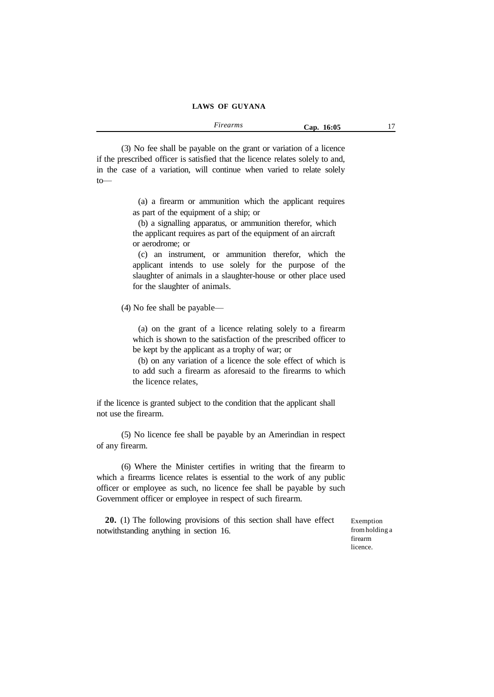(3) No fee shall be payable on the grant or variation of a licence if the prescribed officer is satisfied that the licence relates solely to and, in the case of a variation, will continue when varied to relate solely to—

> (a) a firearm or ammunition which the applicant requires as part of the equipment of a ship; or

(b) a signalling apparatus, or ammunition therefor, which the applicant requires as part of the equipment of an aircraft or aerodrome; or

(c) an instrument, or ammunition therefor, which the applicant intends to use solely for the purpose of the slaughter of animals in a slaughter-house or other place used for the slaughter of animals.

(4) No fee shall be payable—

(a) on the grant of a licence relating solely to a firearm which is shown to the satisfaction of the prescribed officer to be kept by the applicant as a trophy of war; or

(b) on any variation of a licence the sole effect of which is to add such a firearm as aforesaid to the firearms to which the licence relates,

if the licence is granted subject to the condition that the applicant shall not use the firearm.

(5) No licence fee shall be payable by an Amerindian in respect of any firearm.

(6) Where the Minister certifies in writing that the firearm to which a firearms licence relates is essential to the work of any public officer or employee as such, no licence fee shall be payable by such Government officer or employee in respect of such firearm.

**20.** (1) The following provisions of this section shall have effect notwithstanding anything in section 16.

Exemption fromholding a firearm licence.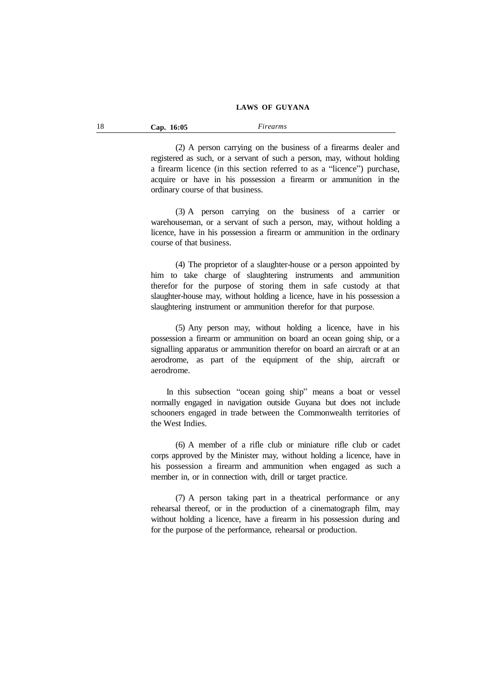| 18 | Cap. 16:05 | Firearms |
|----|------------|----------|
|----|------------|----------|

(2) A person carrying on the business of a firearms dealer and registered as such, or a servant of such a person, may, without holding a firearm licence (in this section referred to as a "licence") purchase, acquire or have in his possession a firearm or ammunition in the ordinary course of that business.

(3) A person carrying on the business of a carrier or warehouseman, or a servant of such a person, may, without holding a licence, have in his possession a firearm or ammunition in the ordinary course of that business.

(4) The proprietor of a slaughter-house or a person appointed by him to take charge of slaughtering instruments and ammunition therefor for the purpose of storing them in safe custody at that slaughter-house may, without holding a licence, have in his possession a slaughtering instrument or ammunition therefor for that purpose.

(5) Any person may, without holding a licence, have in his possession a firearm or ammunition on board an ocean going ship, or a signalling apparatus or ammunition therefor on board an aircraft or at an aerodrome, as part of the equipment of the ship, aircraft or aerodrome.

In this subsection "ocean going ship" means a boat or vessel normally engaged in navigation outside Guyana but does not include schooners engaged in trade between the Commonwealth territories of the West Indies.

(6) A member of a rifle club or miniature rifle club or cadet corps approved by the Minister may, without holding a licence, have in his possession a firearm and ammunition when engaged as such a member in, or in connection with, drill or target practice.

(7) A person taking part in a theatrical performance or any rehearsal thereof, or in the production of a cinematograph film, may without holding a licence, have a firearm in his possession during and for the purpose of the performance, rehearsal or production.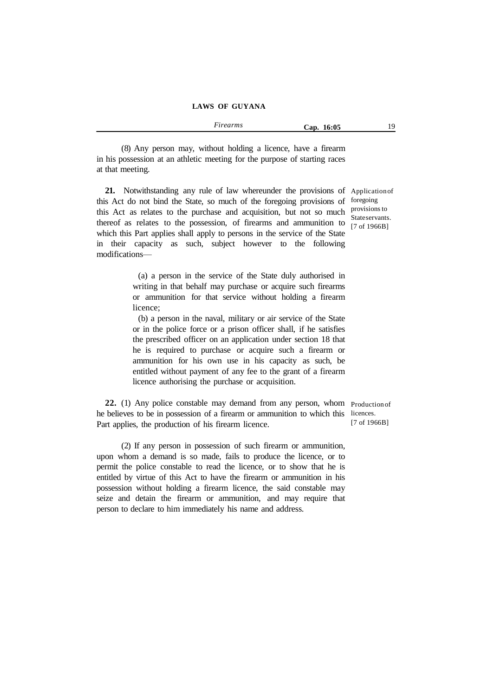| Firearms | Cap. 16:05 | 19 |
|----------|------------|----|
|          |            |    |

(8) Any person may, without holding a licence, have a firearm in his possession at an athletic meeting for the purpose of starting races at that meeting.

**21.** Notwithstanding any rule of law whereunder the provisions of Applicationof this Act do not bind the State, so much of the foregoing provisions of foregoing this Act as relates to the purchase and acquisition, but not so much provisionsto thereof as relates to the possession, of firearms and ammunition to which this Part applies shall apply to persons in the service of the State in their capacity as such, subject however to the following modifications—

> (a) a person in the service of the State duly authorised in writing in that behalf may purchase or acquire such firearms or ammunition for that service without holding a firearm licence;

> (b) a person in the naval, military or air service of the State or in the police force or a prison officer shall, if he satisfies the prescribed officer on an application under section 18 that he is required to purchase or acquire such a firearm or ammunition for his own use in his capacity as such, be entitled without payment of any fee to the grant of a firearm licence authorising the purchase or acquisition.

**22.** (1) Any police constable may demand from any person, whom Productionof he believes to be in possession of a firearm or ammunition to which this licences. Part applies, the production of his firearm licence.

(2) If any person in possession of such firearm or ammunition, upon whom a demand is so made, fails to produce the licence, or to permit the police constable to read the licence, or to show that he is entitled by virtue of this Act to have the firearm or ammunition in his possession without holding a firearm licence, the said constable may seize and detain the firearm or ammunition, and may require that person to declare to him immediately his name and address.

Stateservants. [7 of 1966B]

[7 of 1966B]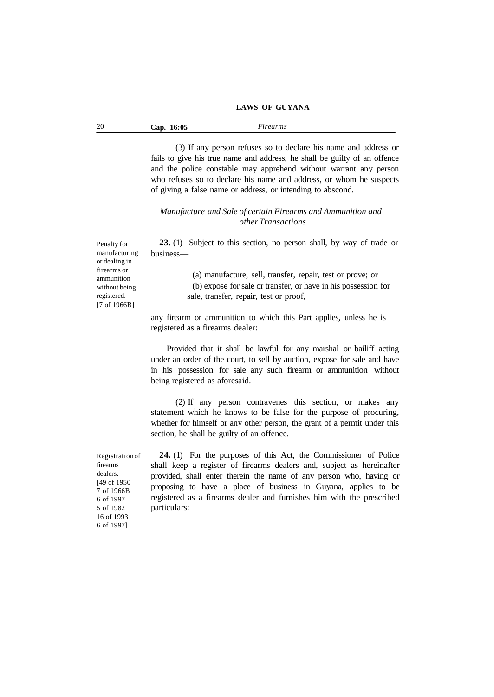| 20 | Cap. 16:05 | Firearms |  |
|----|------------|----------|--|
|----|------------|----------|--|

(3) If any person refuses so to declare his name and address or fails to give his true name and address, he shall be guilty of an offence and the police constable may apprehend without warrant any person who refuses so to declare his name and address, or whom he suspects of giving a false name or address, or intending to abscond.

#### *Manufacture and Sale of certain Firearms and Ammunition and other Transactions*

**23.** (1) Subject to this section, no person shall, by way of trade or business—

> (a) manufacture, sell, transfer, repair, test or prove; or (b) expose for sale or transfer, or have in his possession for sale, transfer, repair, test or proof,

any firearm or ammunition to which this Part applies, unless he is registered as a firearms dealer:

Provided that it shall be lawful for any marshal or bailiff acting under an order of the court, to sell by auction, expose for sale and have in his possession for sale any such firearm or ammunition without being registered as aforesaid.

(2) If any person contravenes this section, or makes any statement which he knows to be false for the purpose of procuring, whether for himself or any other person, the grant of a permit under this section, he shall be guilty of an offence.

Registrationof firearms dealers. [49 of 1950 7 of 1966B 6 of 1997 5 of 1982 16 of 1993 6 of 1997]

**24.** (1) For the purposes of this Act, the Commissioner of Police shall keep a register of firearms dealers and, subject as hereinafter provided, shall enter therein the name of any person who, having or proposing to have a place of business in Guyana, applies to be registered as a firearms dealer and furnishes him with the prescribed particulars:

Penalty for manufacturing or dealing in firearms or ammunition without being registered. [7 of 1966B]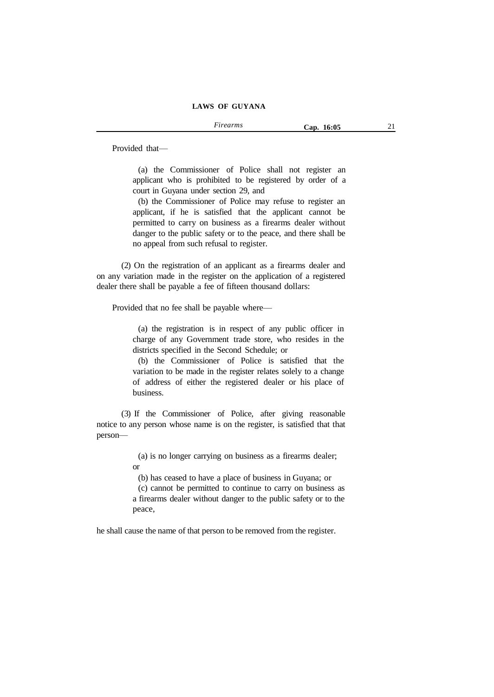Provided that—

(a) the Commissioner of Police shall not register an applicant who is prohibited to be registered by order of a court in Guyana under section 29, and

(b) the Commissioner of Police may refuse to register an applicant, if he is satisfied that the applicant cannot be permitted to carry on business as a firearms dealer without danger to the public safety or to the peace, and there shall be no appeal from such refusal to register.

(2) On the registration of an applicant as a firearms dealer and on any variation made in the register on the application of a registered dealer there shall be payable a fee of fifteen thousand dollars:

Provided that no fee shall be payable where—

(a) the registration is in respect of any public officer in charge of any Government trade store, who resides in the districts specified in the Second Schedule; or

(b) the Commissioner of Police is satisfied that the variation to be made in the register relates solely to a change of address of either the registered dealer or his place of business.

(3) If the Commissioner of Police, after giving reasonable notice to any person whose name is on the register, is satisfied that that person—

> (a) is no longer carrying on business as a firearms dealer; or

(b) has ceased to have a place of business in Guyana; or

(c) cannot be permitted to continue to carry on business as a firearms dealer without danger to the public safety or to the peace,

he shall cause the name of that person to be removed from the register.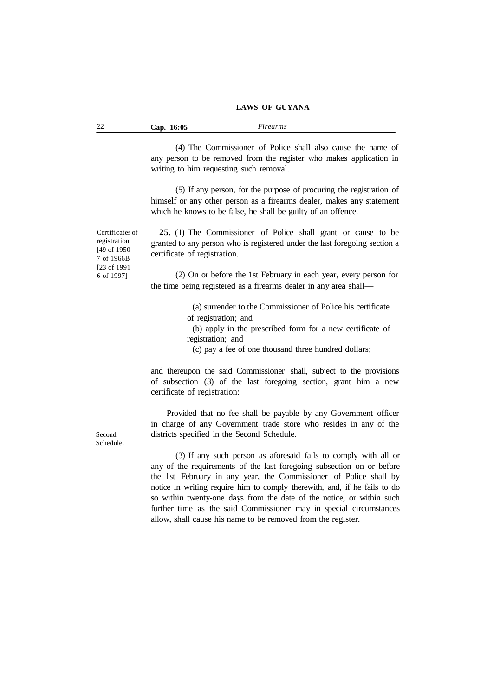| -22 | Cap. 16:05 | Firearms |  |
|-----|------------|----------|--|
|-----|------------|----------|--|

(4) The Commissioner of Police shall also cause the name of any person to be removed from the register who makes application in writing to him requesting such removal.

(5) If any person, for the purpose of procuring the registration of himself or any other person as a firearms dealer, makes any statement which he knows to be false, he shall be guilty of an offence.

Certificates of registration. [49 of 1950 7 of 1966B [23 of 1991 6 of 1997]

**25.** (1) The Commissioner of Police shall grant or cause to be granted to any person who is registered under the last foregoing section a certificate of registration.

(2) On or before the 1st February in each year, every person for the time being registered as a firearms dealer in any area shall—

> (a) surrender to the Commissioner of Police his certificate of registration; and

> (b) apply in the prescribed form for a new certificate of registration; and

(c) pay a fee of one thousand three hundred dollars;

and thereupon the said Commissioner shall, subject to the provisions of subsection (3) of the last foregoing section, grant him a new certificate of registration:

Provided that no fee shall be payable by any Government officer in charge of any Government trade store who resides in any of the districts specified in the Second Schedule.

(3) If any such person as aforesaid fails to comply with all or any of the requirements of the last foregoing subsection on or before the 1st February in any year, the Commissioner of Police shall by notice in writing require him to comply therewith, and, if he fails to do so within twenty-one days from the date of the notice, or within such further time as the said Commissioner may in special circumstances allow, shall cause his name to be removed from the register.

Second Schedule.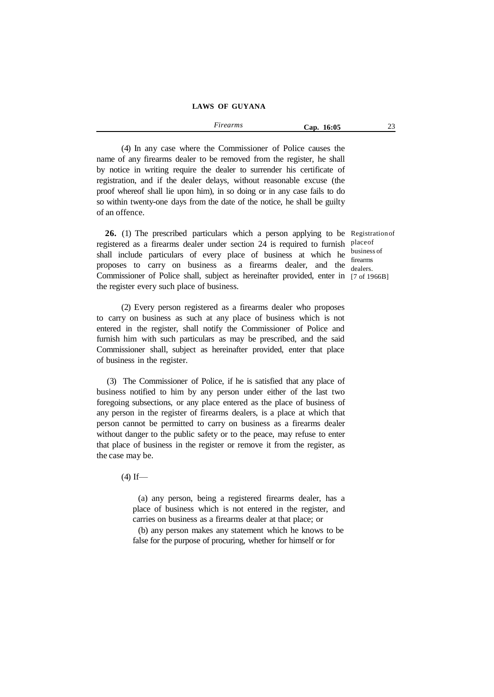*Firearms* **Cap. 16:05** 23

(4) In any case where the Commissioner of Police causes the name of any firearms dealer to be removed from the register, he shall by notice in writing require the dealer to surrender his certificate of registration, and if the dealer delays, without reasonable excuse (the proof whereof shall lie upon him), in so doing or in any case fails to do so within twenty-one days from the date of the notice, he shall be guilty of an offence.

**26.** (1) The prescribed particulars which a person applying to be Registrationof registered as a firearms dealer under section 24 is required to furnish placeof shall include particulars of every place of business at which he  $\frac{\text{business of}}{\text{parameters}}$ proposes to carry on business as a firearms dealer, and the dealers Commissioner of Police shall, subject as hereinafter provided, enter in [7 of 1966B]the register every such place of business.

dealers.

(2) Every person registered as a firearms dealer who proposes to carry on business as such at any place of business which is not entered in the register, shall notify the Commissioner of Police and furnish him with such particulars as may be prescribed, and the said Commissioner shall, subject as hereinafter provided, enter that place of business in the register.

(3) The Commissioner of Police, if he is satisfied that any place of business notified to him by any person under either of the last two foregoing subsections, or any place entered as the place of business of any person in the register of firearms dealers, is a place at which that person cannot be permitted to carry on business as a firearms dealer without danger to the public safety or to the peace, may refuse to enter that place of business in the register or remove it from the register, as the case may be.

 $(4)$  If—

(a) any person, being a registered firearms dealer, has a place of business which is not entered in the register, and carries on business as a firearms dealer at that place; or

(b) any person makes any statement which he knows to be false for the purpose of procuring, whether for himself or for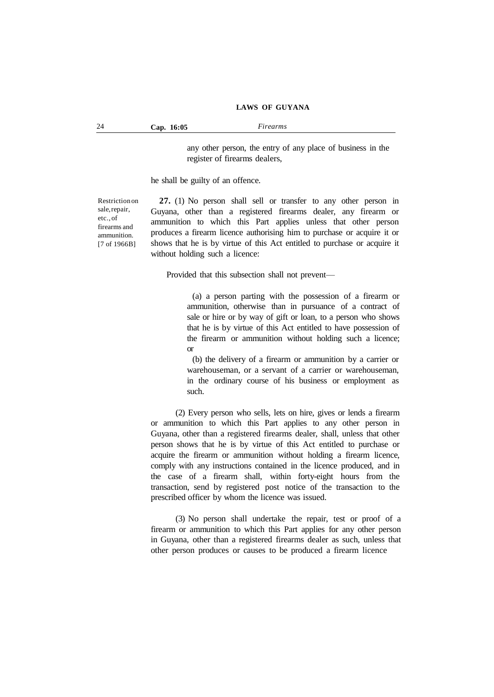24 **Cap. 16:05** *Firearms*

any other person, the entry of any place of business in the register of firearms dealers,

he shall be guilty of an offence.

Restriction on sale,repair, etc.,of firearms and ammunition. [7 of 1966B]

**27.** (1) No person shall sell or transfer to any other person in Guyana, other than a registered firearms dealer, any firearm or ammunition to which this Part applies unless that other person produces a firearm licence authorising him to purchase or acquire it or shows that he is by virtue of this Act entitled to purchase or acquire it without holding such a licence:

Provided that this subsection shall not prevent—

(a) a person parting with the possession of a firearm or ammunition, otherwise than in pursuance of a contract of sale or hire or by way of gift or loan, to a person who shows that he is by virtue of this Act entitled to have possession of the firearm or ammunition without holding such a licence; or

(b) the delivery of a firearm or ammunition by a carrier or warehouseman, or a servant of a carrier or warehouseman, in the ordinary course of his business or employment as such.

(2) Every person who sells, lets on hire, gives or lends a firearm or ammunition to which this Part applies to any other person in Guyana, other than a registered firearms dealer, shall, unless that other person shows that he is by virtue of this Act entitled to purchase or acquire the firearm or ammunition without holding a firearm licence, comply with any instructions contained in the licence produced, and in the case of a firearm shall, within forty-eight hours from the transaction, send by registered post notice of the transaction to the prescribed officer by whom the licence was issued.

(3) No person shall undertake the repair, test or proof of a firearm or ammunition to which this Part applies for any other person in Guyana, other than a registered firearms dealer as such, unless that other person produces or causes to be produced a firearm licence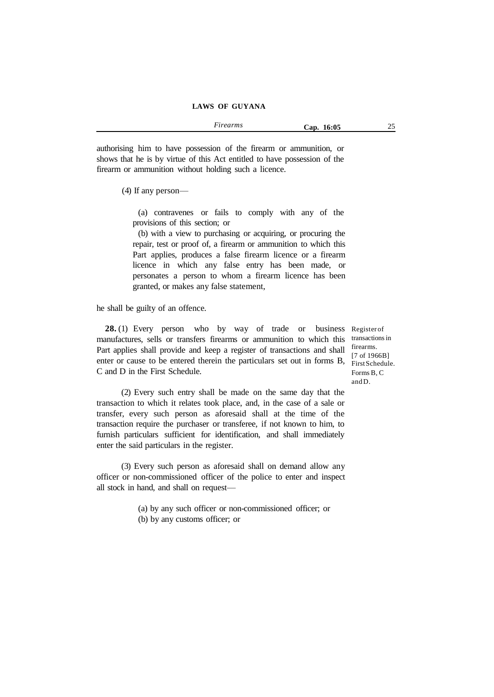*Firearms* **Cap. 16:05** 25

authorising him to have possession of the firearm or ammunition, or shows that he is by virtue of this Act entitled to have possession of the firearm or ammunition without holding such a licence.

(4) If any person—

(a) contravenes or fails to comply with any of the provisions of this section; or

(b) with a view to purchasing or acquiring, or procuring the repair, test or proof of, a firearm or ammunition to which this Part applies, produces a false firearm licence or a firearm licence in which any false entry has been made, or personates a person to whom a firearm licence has been granted, or makes any false statement,

he shall be guilty of an offence.

**28.** (1) Every person who by way of trade or business Register of manufactures, sells or transfers firearms or ammunition to which this transactionsin Part applies shall provide and keep a register of transactions and shall enter or cause to be entered therein the particulars set out in forms B,  $\frac{1}{\text{FirstSchedule}}$ . C and D in the First Schedule.

firearms. [7 of 1966B] Forms B, C andD.

(2) Every such entry shall be made on the same day that the transaction to which it relates took place, and, in the case of a sale or transfer, every such person as aforesaid shall at the time of the transaction require the purchaser or transferee, if not known to him, to furnish particulars sufficient for identification, and shall immediately enter the said particulars in the register.

(3) Every such person as aforesaid shall on demand allow any officer or non-commissioned officer of the police to enter and inspect all stock in hand, and shall on request—

(a) by any such officer or non-commissioned officer; or

(b) by any customs officer; or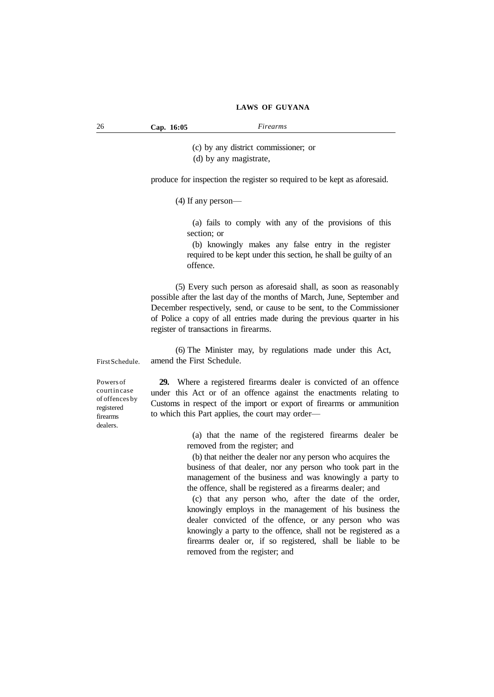26 **Cap. 16:05** *Firearms*

(c) by any district commissioner; or (d) by any magistrate,

produce for inspection the register so required to be kept as aforesaid.

(4) If any person—

(a) fails to comply with any of the provisions of this section; or

(b) knowingly makes any false entry in the register required to be kept under this section, he shall be guilty of an offence.

(5) Every such person as aforesaid shall, as soon as reasonably possible after the last day of the months of March, June, September and December respectively, send, or cause to be sent, to the Commissioner of Police a copy of all entries made during the previous quarter in his register of transactions in firearms.

(6) The Minister may, by regulations made under this Act, amend the First Schedule.

FirstSchedule.

Powers of courtin case of offences by registered firearms dealers.

**29.** Where a registered firearms dealer is convicted of an offence under this Act or of an offence against the enactments relating to Customs in respect of the import or export of firearms or ammunition to which this Part applies, the court may order—

> (a) that the name of the registered firearms dealer be removed from the register; and

(b) that neither the dealer nor any person who acquires the

business of that dealer, nor any person who took part in the management of the business and was knowingly a party to the offence, shall be registered as a firearms dealer; and

(c) that any person who, after the date of the order, knowingly employs in the management of his business the dealer convicted of the offence, or any person who was knowingly a party to the offence, shall not be registered as a firearms dealer or, if so registered, shall be liable to be removed from the register; and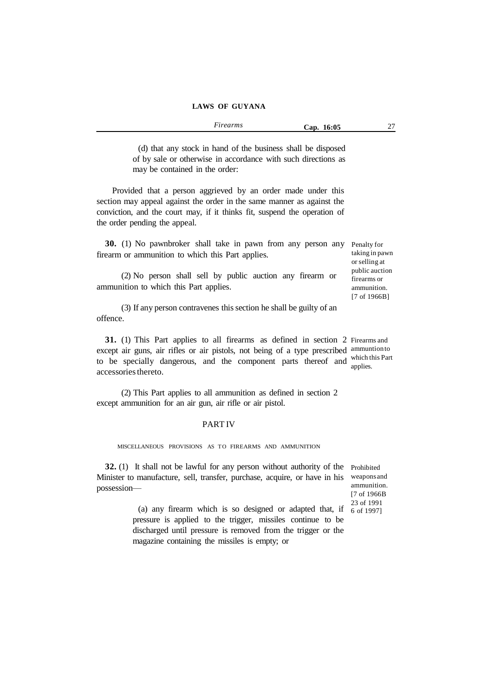| $\sim$<br>Firearms<br>. | 16:05<br>Can. | $\sim$ |
|-------------------------|---------------|--------|
|                         |               |        |

(d) that any stock in hand of the business shall be disposed of by sale or otherwise in accordance with such directions as may be contained in the order:

Provided that a person aggrieved by an order made under this section may appeal against the order in the same manner as against the conviction, and the court may, if it thinks fit, suspend the operation of the order pending the appeal.

**30.** (1) No pawnbroker shall take in pawn from any person any Penalty for firearm or ammunition to which this Part applies.

(2) No person shall sell by public auction any firearm or ammunition to which this Part applies.

(3) If any person contravenes thissection he shall be guilty of an offence.

**31.** (1) This Part applies to all firearms as defined in section 2 Firearms and except air guns, air rifles or air pistols, not being of a type prescribed ammuntionto to be specially dangerous, and the component parts thereof and which this Part accessories thereto. applies.

(2) This Part applies to all ammunition as defined in section 2 except ammunition for an air gun, air rifle or air pistol.

#### PART IV

MISCELLANEOUS PROVISIONS AS TO FIREARMS AND AMMUNITION

**32.** (1) It shall not be lawful for any person without authority of the Prohibited Minister to manufacture, sell, transfer, purchase, acquire, or have in his weapons and possession—

ammunition. [7 of 1966B 23 of 1991

taking in pawn or selling at public auction firearms or ammunition. [7 of 1966B]

(a) any firearm which is so designed or adapted that, if  $\frac{20017}{6061997}$ pressure is applied to the trigger, missiles continue to be discharged until pressure is removed from the trigger or the magazine containing the missiles is empty; or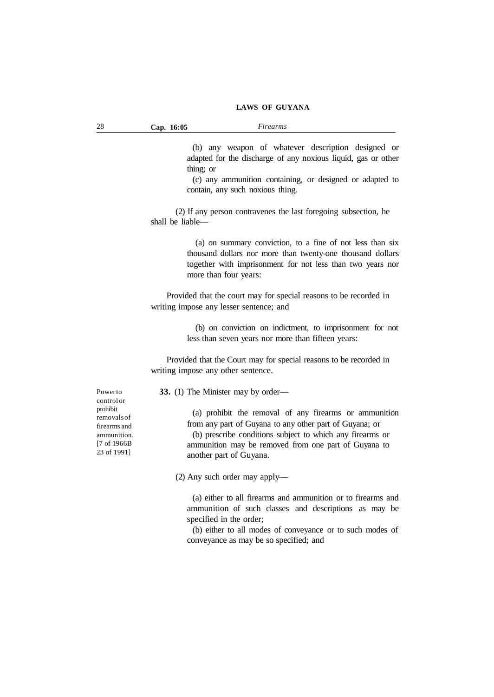| 28 | 16:05 | <i>irearms</i> |  |
|----|-------|----------------|--|
| -- | Cap.  |                |  |
|    |       |                |  |

(b) any weapon of whatever description designed or adapted for the discharge of any noxious liquid, gas or other thing; or

(c) any ammunition containing, or designed or adapted to contain, any such noxious thing.

(2) If any person contravenes the last foregoing subsection, he shall be liable—

> (a) on summary conviction, to a fine of not less than six thousand dollars nor more than twenty-one thousand dollars together with imprisonment for not less than two years nor more than four years:

Provided that the court may for special reasons to be recorded in writing impose any lesser sentence; and

> (b) on conviction on indictment, to imprisonment for not less than seven years nor more than fifteen years:

Provided that the Court may for special reasons to be recorded in writing impose any other sentence.

**33.** (1) The Minister may by order—

(a) prohibit the removal of any firearms or ammunition from any part of Guyana to any other part of Guyana; or (b) prescribe conditions subject to which any firearms or ammunition may be removed from one part of Guyana to another part of Guyana.

(2) Any such order may apply—

(a) either to all firearms and ammunition or to firearms and ammunition of such classes and descriptions as may be specified in the order;

(b) either to all modes of conveyance or to such modes of conveyance as may be so specified; and

Powerto control or prohibit removalsof firearms and ammunition. [7 of 1966B 23 of 1991]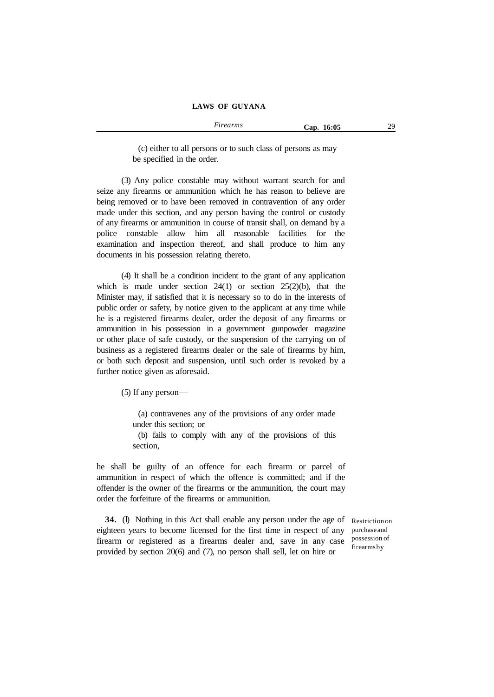(c) either to all persons or to such class of persons as may be specified in the order.

(3) Any police constable may without warrant search for and seize any firearms or ammunition which he has reason to believe are being removed or to have been removed in contravention of any order made under this section, and any person having the control or custody of any firearms or ammunition in course of transit shall, on demand by a police constable allow him all reasonable facilities for the examination and inspection thereof, and shall produce to him any documents in his possession relating thereto.

(4) It shall be a condition incident to the grant of any application which is made under section  $24(1)$  or section  $25(2)(b)$ , that the Minister may, if satisfied that it is necessary so to do in the interests of public order or safety, by notice given to the applicant at any time while he is a registered firearms dealer, order the deposit of any firearms or ammunition in his possession in a government gunpowder magazine or other place of safe custody, or the suspension of the carrying on of business as a registered firearms dealer or the sale of firearms by him, or both such deposit and suspension, until such order is revoked by a further notice given as aforesaid.

(5) If any person—

(a) contravenes any of the provisions of any order made under this section; or (b) fails to comply with any of the provisions of this

section,

he shall be guilty of an offence for each firearm or parcel of ammunition in respect of which the offence is committed; and if the offender is the owner of the firearms or the ammunition, the court may order the forfeiture of the firearms or ammunition.

**34.** (l) Nothing in this Act shall enable any person under the age of eighteen years to become licensed for the first time in respect of any firearm or registered as a firearms dealer and, save in any case provided by section 20(6) and (7), no person shall sell, let on hire or

Restriction on purchaseand possession of firearmsby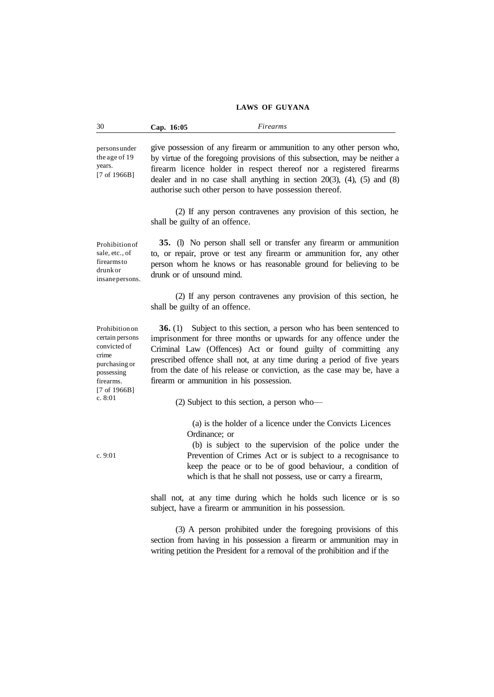| 30                                                                                                                        | Cap. 16:05                                               | Firearms                                                                                                                                                                                                                                                                                                                                                |
|---------------------------------------------------------------------------------------------------------------------------|----------------------------------------------------------|---------------------------------------------------------------------------------------------------------------------------------------------------------------------------------------------------------------------------------------------------------------------------------------------------------------------------------------------------------|
| personsunder<br>the age of 19<br>years.<br>$[7 \text{ of } 1966B]$                                                        | authorise such other person to have possession thereof.  | give possession of any firearm or ammunition to any other person who,<br>by virtue of the foregoing provisions of this subsection, may be neither a<br>firearm licence holder in respect thereof nor a registered firearms<br>dealer and in no case shall anything in section $20(3)$ , $(4)$ , $(5)$ and $(8)$                                         |
|                                                                                                                           | shall be guilty of an offence.                           | (2) If any person contravenes any provision of this section, he                                                                                                                                                                                                                                                                                         |
| Prohibition of<br>sale, etc., of<br>firearms to<br>drunk or<br>insanepersons.                                             | drunk or of unsound mind.                                | 35. (I) No person shall sell or transfer any firearm or ammunition<br>to, or repair, prove or test any firearm or ammunition for, any other<br>person whom he knows or has reasonable ground for believing to be                                                                                                                                        |
|                                                                                                                           | shall be guilty of an offence.                           | (2) If any person contravenes any provision of this section, he                                                                                                                                                                                                                                                                                         |
| Prohibition on<br>certain persons<br>convicted of<br>crime<br>purchasing or<br>possessing<br>firearms.<br>[7 of $1966B$ ] | 36. (1)<br>firearm or ammunition in his possession.      | Subject to this section, a person who has been sentenced to<br>imprisonment for three months or upwards for any offence under the<br>Criminal Law (Offences) Act or found guilty of committing any<br>prescribed offence shall not, at any time during a period of five years<br>from the date of his release or conviction, as the case may be, have a |
| c. 8:01                                                                                                                   | (2) Subject to this section, a person who-               |                                                                                                                                                                                                                                                                                                                                                         |
| c. 9:01                                                                                                                   | Ordinance; or                                            | (a) is the holder of a licence under the Convicts Licences<br>(b) is subject to the supervision of the police under the<br>Prevention of Crimes Act or is subject to a recognisance to<br>keep the peace or to be of good behaviour, a condition of<br>which is that he shall not possess, use or carry a firearm,                                      |
|                                                                                                                           | subject, have a firearm or ammunition in his possession. | shall not, at any time during which he holds such licence or is so                                                                                                                                                                                                                                                                                      |
|                                                                                                                           |                                                          | (3) A person prohibited under the foregoing provisions of this<br>section from having in his possession a firearm or ammunition may in<br>writing petition the President for a removal of the prohibition and if the                                                                                                                                    |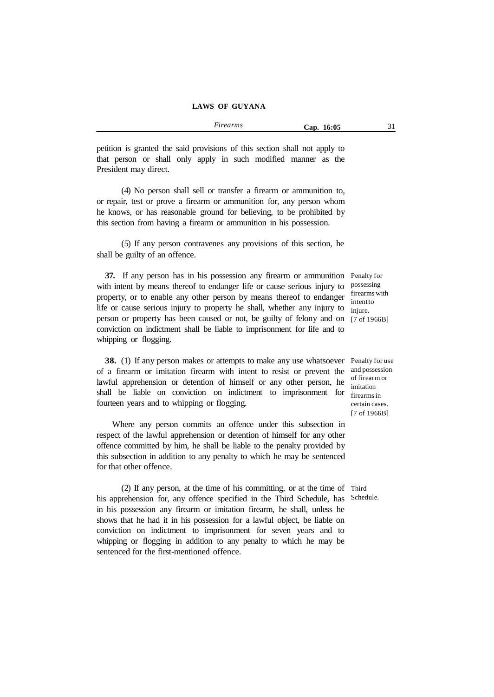*Firearms* **Cap. 16:05** 31

petition is granted the said provisions of this section shall not apply to that person or shall only apply in such modified manner as the President may direct.

(4) No person shall sell or transfer a firearm or ammunition to, or repair, test or prove a firearm or ammunition for, any person whom he knows, or has reasonable ground for believing, to be prohibited by this section from having a firearm or ammunition in his possession.

(5) If any person contravenes any provisions of this section, he shall be guilty of an offence.

**37.** If any person has in his possession any firearm or ammunition Penalty for with intent by means thereof to endanger life or cause serious injury to property, or to enable any other person by means thereof to endanger life or cause serious injury to property he shall, whether any injury to person or property has been caused or not, be guilty of felony and on [7 of 1966B] conviction on indictment shall be liable to imprisonment for life and to whipping or flogging.

**38.** (1) If any person makes or attempts to make any use whatsoever Penalty for use of a firearm or imitation firearm with intent to resist or prevent the lawful apprehension or detention of himself or any other person, he shall be liable on conviction on indictment to imprisonment for fourteen years and to whipping or flogging.

Where any person commits an offence under this subsection in respect of the lawful apprehension or detention of himself for any other offence committed by him, he shall be liable to the penalty provided by this subsection in addition to any penalty to which he may be sentenced for that other offence.

(2) If any person, at the time of his committing, or at the time of Third his apprehension for, any offence specified in the Third Schedule, has Schedule. in his possession any firearm or imitation firearm, he shall, unless he shows that he had it in his possession for a lawful object, be liable on conviction on indictment to imprisonment for seven years and to whipping or flogging in addition to any penalty to which he may be sentenced for the first-mentioned offence.

possessing firearms with intentto injure.

and possession of firearm or imitation firearms in certain cases. [7 of 1966B]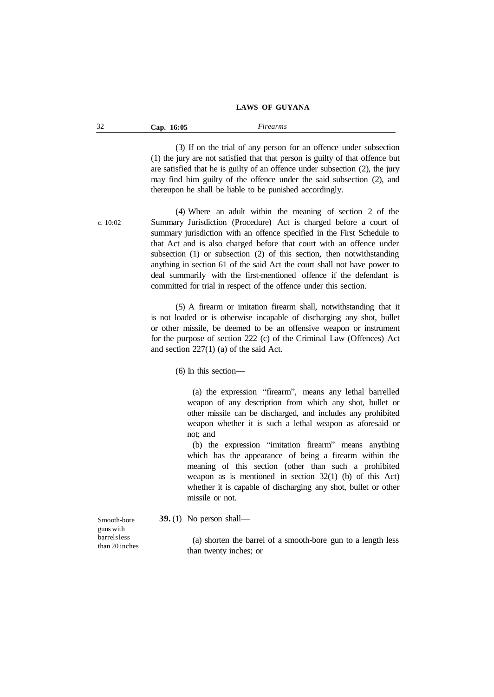| $\Omega$<br>16:05<br>Firearms<br>$\bigcirc$ ap.<br>ىدر |  |
|--------------------------------------------------------|--|
|--------------------------------------------------------|--|

(3) If on the trial of any person for an offence under subsection (1) the jury are not satisfied that that person is guilty of that offence but are satisfied that he is guilty of an offence under subsection (2), the jury may find him guilty of the offence under the said subsection (2), and thereupon he shall be liable to be punished accordingly.

c. 10:02

(4) Where an adult within the meaning of section 2 of the Summary Jurisdiction (Procedure) Act is charged before a court of summary jurisdiction with an offence specified in the First Schedule to that Act and is also charged before that court with an offence under subsection (1) or subsection (2) of this section, then notwithstanding anything in section 61 of the said Act the court shall not have power to deal summarily with the first-mentioned offence if the defendant is committed for trial in respect of the offence under this section.

(5) A firearm or imitation firearm shall, notwithstanding that it is not loaded or is otherwise incapable of discharging any shot, bullet or other missile, be deemed to be an offensive weapon or instrument for the purpose of section 222 (c) of the Criminal Law (Offences) Act and section 227(1) (a) of the said Act.

(6) In this section—

(a) the expression "firearm", means any lethal barrelled weapon of any description from which any shot, bullet or other missile can be discharged, and includes any prohibited weapon whether it is such a lethal weapon as aforesaid or not; and

(b) the expression "imitation firearm" means anything which has the appearance of being a firearm within the meaning of this section (other than such a prohibited weapon as is mentioned in section 32(1) (b) of this Act) whether it is capable of discharging any shot, bullet or other missile or not.

**39.** (1) No person shall—

(a) shorten the barrel of a smooth-bore gun to a length less than twenty inches; or

Smooth-bore guns with barrelsless than 20 inches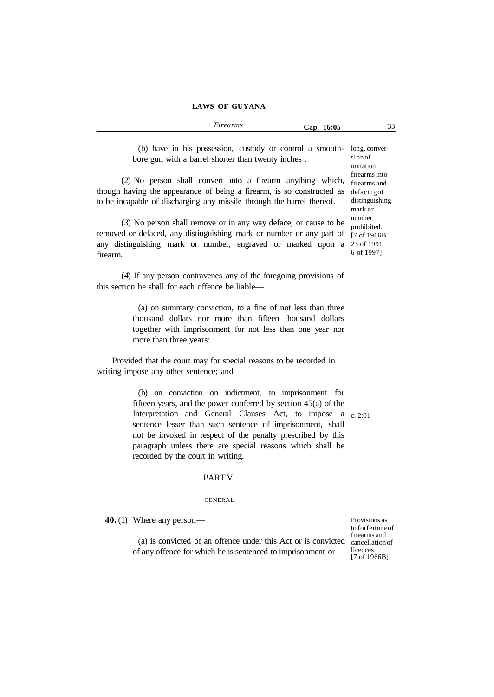|                                                                                                                 |                                            | Firearms                      | Cap. 16:05                        |                               | ້ |
|-----------------------------------------------------------------------------------------------------------------|--------------------------------------------|-------------------------------|-----------------------------------|-------------------------------|---|
|                                                                                                                 |                                            |                               |                                   |                               |   |
| the contract of the contract of the contract of the contract of the contract of the contract of the contract of | <b>Contract Contract Contract Contract</b> | the control of the control of | <b>Contract Contract Contract</b> | the control of the control of |   |

(b) have in his possession, custody or control a smooth-long, converbore gun with a barrel shorter than twenty inches .

(2) No person shall convert into a firearm anything which, firearms and though having the appearance of being a firearm, is so constructed as defacingof to be incapable of discharging any missile through the barrel thereof.

(3) No person shall remove or in any way deface, or cause to be removed or defaced, any distinguishing mark or number or any part of any distinguishing mark or number, engraved or marked upon a 23 of 1991 firearm.

(4) If any person contravenes any of the foregoing provisions of this section he shall for each offence be liable—

> (a) on summary conviction, to a fine of not less than three thousand dollars nor more than fifteen thousand dollars together with imprisonment for not less than one year nor more than three years:

Provided that the court may for special reasons to be recorded in writing impose any other sentence; and

> (b) on conviction on indictment, to imprisonment for fifteen years, and the power conferred by section 45(a) of the Interpretation and General Clauses Act, to impose a c. 2:01 sentence lesser than such sentence of imprisonment, shall not be invoked in respect of the penalty prescribed by this paragraph unless there are special reasons which shall be recorded by the court in writing.

#### PARTV

#### GENERAL

**40.** (1) Where any person—

(a) is convicted of an offence under this Act or is convicted cancellationof of any offence for which he is sentenced to imprisonment or

Provisions as to forfeiture of firearms and licences. [7 of 1966B]

sion of imitation firearms into distinguishing mark or number prohibited. [7 of 1966B 6 of 1997]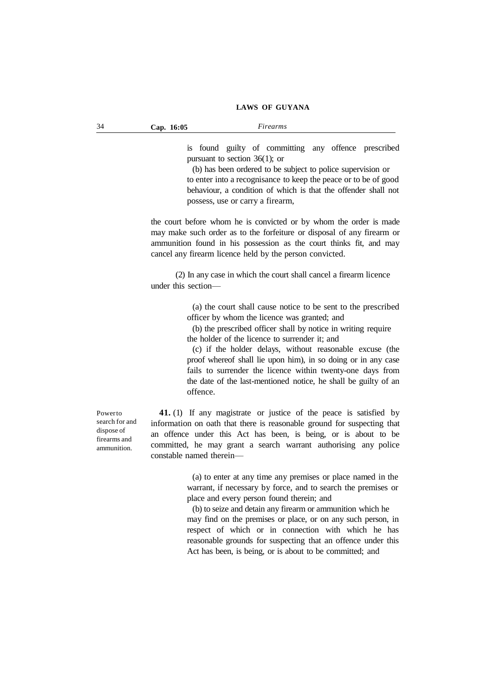is found guilty of committing any offence prescribed pursuant to section 36(1); or

(b) has been ordered to be subject to police supervision or to enter into a recognisance to keep the peace or to be of good behaviour, a condition of which is that the offender shall not possess, use or carry a firearm,

the court before whom he is convicted or by whom the order is made may make such order as to the forfeiture or disposal of any firearm or ammunition found in his possession as the court thinks fit, and may cancel any firearm licence held by the person convicted.

(2) In any case in which the court shall cancel a firearm licence under this section—

> (a) the court shall cause notice to be sent to the prescribed officer by whom the licence was granted; and

(b) the prescribed officer shall by notice in writing require the holder of the licence to surrender it; and

(c) if the holder delays, without reasonable excuse (the proof whereof shall lie upon him), in so doing or in any case fails to surrender the licence within twenty-one days from the date of the last-mentioned notice, he shall be guilty of an offence.

**41.** (1) If any magistrate or justice of the peace is satisfied by information on oath that there is reasonable ground for suspecting that an offence under this Act has been, is being, or is about to be committed, he may grant a search warrant authorising any police constable named therein—

> (a) to enter at any time any premises or place named in the warrant, if necessary by force, and to search the premises or place and every person found therein; and

> (b) to seize and detain any firearm or ammunition which he may find on the premises or place, or on any such person, in respect of which or in connection with which he has reasonable grounds for suspecting that an offence under this Act has been, is being, or is about to be committed; and

Powerto search for and dispose of firearms and ammunition.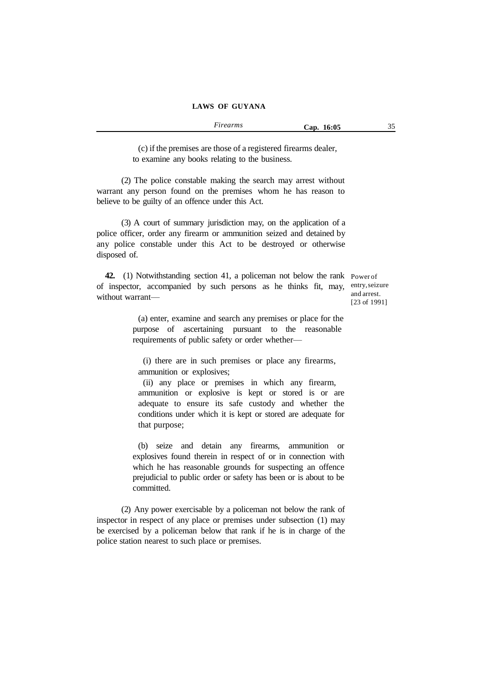| Firearms | Cap. 16:05 |  |
|----------|------------|--|
|----------|------------|--|

(c) if the premises are those of a registered firearms dealer, to examine any books relating to the business.

(2) The police constable making the search may arrest without warrant any person found on the premises whom he has reason to believe to be guilty of an offence under this Act.

(3) A court of summary jurisdiction may, on the application of a police officer, order any firearm or ammunition seized and detained by any police constable under this Act to be destroyed or otherwise disposed of.

**42.** (1) Notwithstanding section 41, a policeman not below the rank Power of of inspector, accompanied by such persons as he thinks fit, may, entry,seizure without warrant—

and arrest. [23 of 1991]

(a) enter, examine and search any premises or place for the purpose of ascertaining pursuant to the reasonable requirements of public safety or order whether—

(i) there are in such premises or place any firearms, ammunition or explosives;

(ii) any place or premises in which any firearm, ammunition or explosive is kept or stored is or are adequate to ensure its safe custody and whether the conditions under which it is kept or stored are adequate for that purpose;

(b) seize and detain any firearms, ammunition or explosives found therein in respect of or in connection with which he has reasonable grounds for suspecting an offence prejudicial to public order or safety has been or is about to be committed.

(2) Any power exercisable by a policeman not below the rank of inspector in respect of any place or premises under subsection (1) may be exercised by a policeman below that rank if he is in charge of the police station nearest to such place or premises.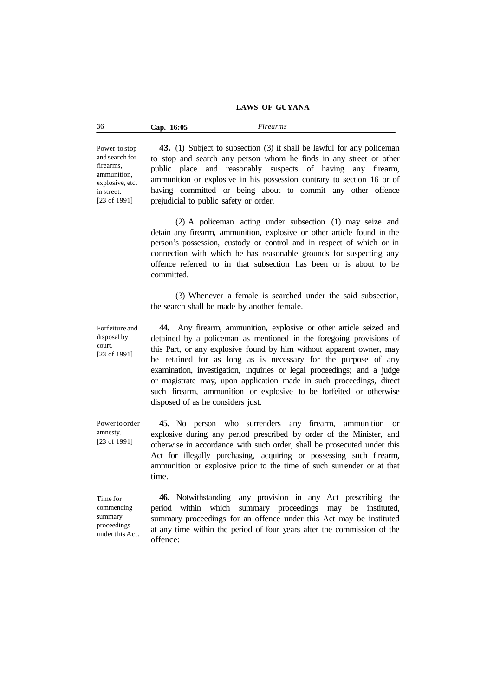| 36<br>16:05<br>$\sup$ . | <i>irearms</i> |
|-------------------------|----------------|
|-------------------------|----------------|

Power to stop and search for firearms, ammunition, explosive, etc. in street. [23 of 1991]

Forfeiture and disposal by court. [23 of 1991]

**43.** (1) Subject to subsection (3) it shall be lawful for any policeman to stop and search any person whom he finds in any street or other public place and reasonably suspects of having any firearm, ammunition or explosive in his possession contrary to section 16 or of having committed or being about to commit any other offence prejudicial to public safety or order.

(2) A policeman acting under subsection (1) may seize and detain any firearm, ammunition, explosive or other article found in the person's possession, custody or control and in respect of which or in connection with which he has reasonable grounds for suspecting any offence referred to in that subsection has been or is about to be committed.

(3) Whenever a female is searched under the said subsection, the search shall be made by another female.

**44.** Any firearm, ammunition, explosive or other article seized and detained by a policeman as mentioned in the foregoing provisions of this Part, or any explosive found by him without apparent owner, may be retained for as long as is necessary for the purpose of any examination, investigation, inquiries or legal proceedings; and a judge or magistrate may, upon application made in such proceedings, direct such firearm, ammunition or explosive to be forfeited or otherwise disposed of as he considers just.

**45.** No person who surrenders any firearm, ammunition or explosive during any period prescribed by order of the Minister, and otherwise in accordance with such order, shall be prosecuted under this Act for illegally purchasing, acquiring or possessing such firearm, ammunition or explosive prior to the time of such surrender or at that time.

Time for commencing summary proceedings underthis Act.

Powerto order amnesty. [23 of 1991]

> **46.** Notwithstanding any provision in any Act prescribing the period within which summary proceedings may be instituted, summary proceedings for an offence under this Act may be instituted at any time within the period of four years after the commission of the offence: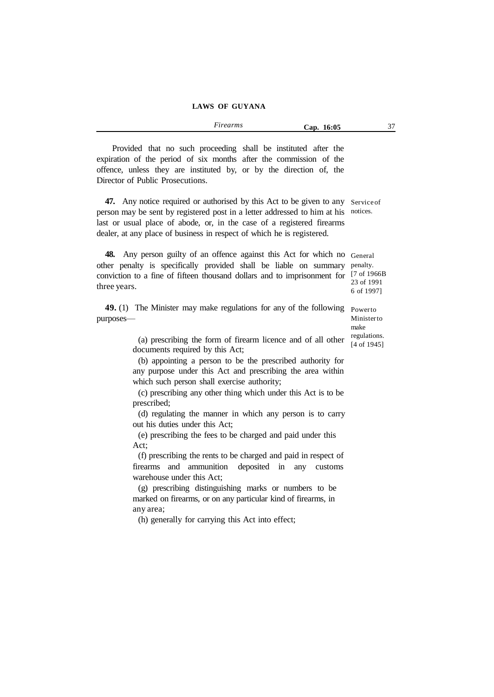| Provided that no such proceeding shall be instituted after the      |  |  |  |  |  |
|---------------------------------------------------------------------|--|--|--|--|--|
| expiration of the period of six months after the commission of the  |  |  |  |  |  |
| offence, unless they are instituted by, or by the direction of, the |  |  |  |  |  |
| Director of Public Prosecutions.                                    |  |  |  |  |  |

**47.** Any notice required or authorised by this Act to be given to any Serviceof person may be sent by registered post in a letter addressed to him at his notices. last or usual place of abode, or, in the case of a registered firearms dealer, at any place of business in respect of which he is registered.

**48.** Any person guilty of an offence against this Act for which no General other penalty is specifically provided shall be liable on summary penalty. conviction to a fine of fifteen thousand dollars and to imprisonment for [7 of 1966B three years. 23 of 1991 6 of 1997]

**49.** (1) The Minister may make regulations for any of the following Powerto purposes—

> (a) prescribing the form of firearm licence and of all other documents required by this Act;

> (b) appointing a person to be the prescribed authority for any purpose under this Act and prescribing the area within which such person shall exercise authority;

> (c) prescribing any other thing which under this Act is to be prescribed;

> (d) regulating the manner in which any person is to carry out his duties under this Act;

(e) prescribing the fees to be charged and paid under this Act;

(f) prescribing the rents to be charged and paid in respect of firearms and ammunition deposited in any customs warehouse under this Act;

(g) prescribing distinguishing marks or numbers to be marked on firearms, or on any particular kind of firearms, in any area;

(h) generally for carrying this Act into effect;

Ministerto make regulations. [4 of 1945]

*Firearms* **Cap. 16:05** 37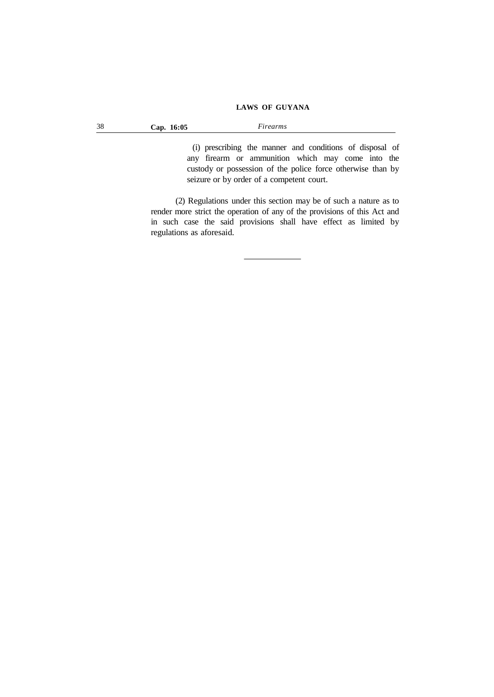| 38 | 16:05<br>$\bigcup$ ap. | urearms |
|----|------------------------|---------|
|    |                        |         |

(i) prescribing the manner and conditions of disposal of any firearm or ammunition which may come into the custody or possession of the police force otherwise than by seizure or by order of a competent court.

(2) Regulations under this section may be of such a nature as to render more strict the operation of any of the provisions of this Act and in such case the said provisions shall have effect as limited by regulations as aforesaid.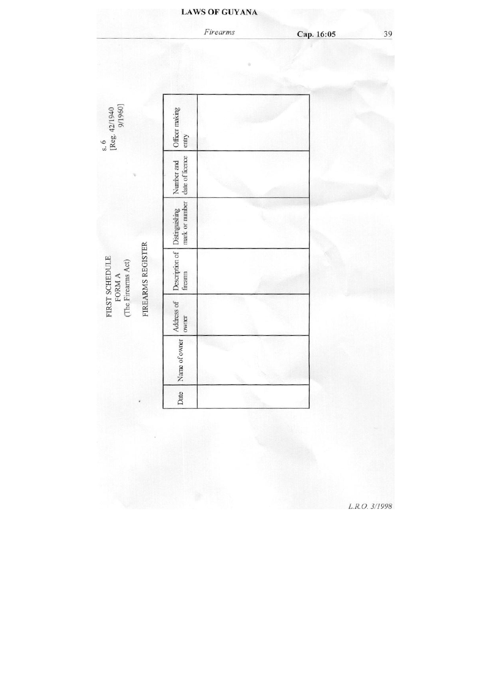# Firearms Cap. 16:05 s. 6<br>[Reg. 42/1940<br>9/1960] Officer making

Number and<br>date of licence Description of Distinguishing<br>freamn mark or number FIREARMS REGISTER FIRST SCHEDULE FORM A  $\left(\text{The Firearms Act}\right)$ Address of<br>owner Name of owner Date

L.R.O. 3/1998

# **LAWS OF GUYANA**

39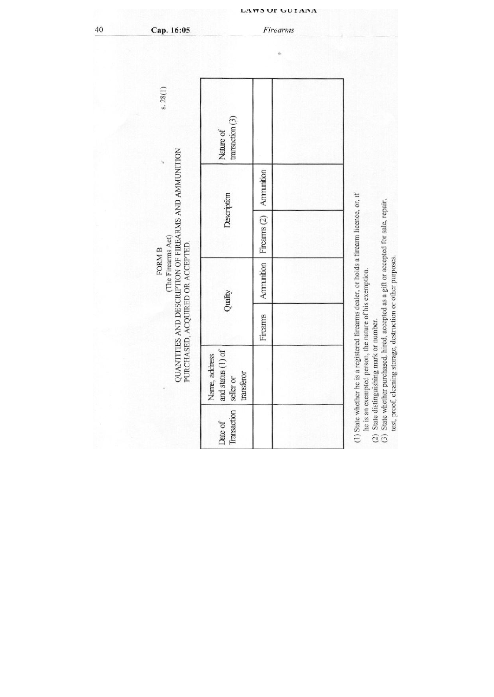| s.28(1)                                                                                                                          | transaction(3)<br>Nature of                                     |              |                                                                                                                                                                                                                                                                                                                                                         |
|----------------------------------------------------------------------------------------------------------------------------------|-----------------------------------------------------------------|--------------|---------------------------------------------------------------------------------------------------------------------------------------------------------------------------------------------------------------------------------------------------------------------------------------------------------------------------------------------------------|
|                                                                                                                                  |                                                                 | Ammunition   |                                                                                                                                                                                                                                                                                                                                                         |
|                                                                                                                                  | Description                                                     | Firearms (2) |                                                                                                                                                                                                                                                                                                                                                         |
| QUANTITIES AND DESCRIPTION OF FIREARMS AND AMMUNITION<br>(The Firearms Act)<br>PURCHASED, ACQUIRED OR ACCEPTED.<br><b>FORM B</b> | Quality                                                         | Ammunition   |                                                                                                                                                                                                                                                                                                                                                         |
|                                                                                                                                  |                                                                 | Firearms     |                                                                                                                                                                                                                                                                                                                                                         |
|                                                                                                                                  | and status $(1)$ of<br>Name, address<br>transferor<br>seller or |              | (1) State whether he is a registered firearms dealer, or holds a firearm licence, or, if<br>(3) State whether purchased, hired, accepted as a gift or accepted for sale, repair,<br>test, proof, cleaning storage, destruction or other purposes.<br>he is an exempted person, the nature of his exemption.<br>(2) State distinguishing mark or number. |
|                                                                                                                                  | Transaction<br>Date of                                          |              |                                                                                                                                                                                                                                                                                                                                                         |

 $Firearms$ 

40

Cap. 16:05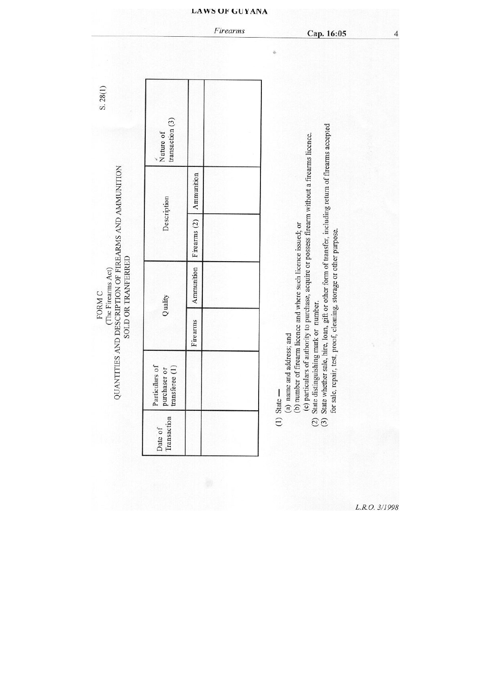|                                                       | transaction $(3)$<br>Nature of                   |              |                                                                                                                                                                                                                                                                                                                                                                                                                                      |
|-------------------------------------------------------|--------------------------------------------------|--------------|--------------------------------------------------------------------------------------------------------------------------------------------------------------------------------------------------------------------------------------------------------------------------------------------------------------------------------------------------------------------------------------------------------------------------------------|
|                                                       |                                                  | Ammunition   |                                                                                                                                                                                                                                                                                                                                                                                                                                      |
|                                                       | Description                                      | Firearms (2) |                                                                                                                                                                                                                                                                                                                                                                                                                                      |
| SOLD OR TRANFERRED                                    | Quality                                          | Ammunition   |                                                                                                                                                                                                                                                                                                                                                                                                                                      |
|                                                       |                                                  | Firearms     |                                                                                                                                                                                                                                                                                                                                                                                                                                      |
| QUANTITIES AND DESCRIPTION OF FIREARMS AND AMMUNITION | Particulars of<br>transferee (1)<br>purchaser or |              | State whether sale, hire, loan, gift or other form of transfer, including return of firearms accepted<br>(c) particulars of authority to purchase, acquire or possess firearm without a firearms licence.<br>(b) number of firearm licence and where such licence issued; or<br>for sale, repair, test, proof, cleaning, storage or other purpose.<br>State distinguishing mark or number.<br>(a) name and address; and<br>$State -$ |
|                                                       | Transaction<br>Date of                           |              | $\mathfrak{S}$                                                                                                                                                                                                                                                                                                                                                                                                                       |

L.R.O. 3/1998

Firearms

 $\overline{4}$ 

Cap. 16:05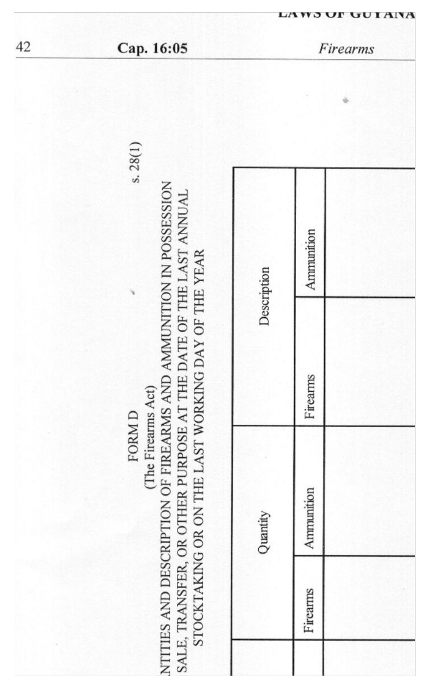| s.28(1)                                                                                                                                                                                                                         | Description | Ammunition |
|---------------------------------------------------------------------------------------------------------------------------------------------------------------------------------------------------------------------------------|-------------|------------|
|                                                                                                                                                                                                                                 |             | Firearms   |
| NTITIES AND DESCRIPTION OF FIREARMS AND AMMUNITION IN POSSESSION<br>SALE, TRANSFER, OR OTHER PURPOSE AT THE DATE OF THE LAST ANNUAL<br>STOCKTAKING OR ON THE LAST WORKING DAY OF THE YEAR<br>(The Firearms Act)<br><b>FORMD</b> | Quantity    | Ammunition |
|                                                                                                                                                                                                                                 |             | Firearms   |
|                                                                                                                                                                                                                                 |             |            |

Cap. 16:05

LAWS UP GUT AINA Firearms

42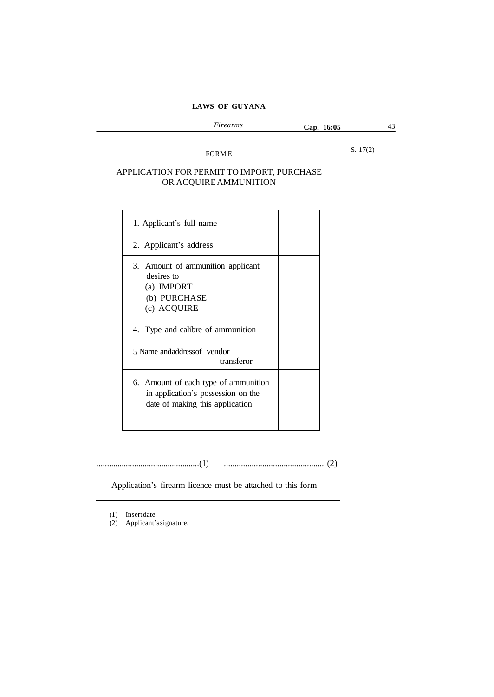| Firearms | 16:05<br>Cap. | $\sim$ |
|----------|---------------|--------|
|          |               |        |

FORM E

S. 17(2)

# APPLICATION FOR PERMIT TO IMPORT, PURCHASE OR ACQUIREAMMUNITION

| 1. Applicant's full name                                                                                      |  |
|---------------------------------------------------------------------------------------------------------------|--|
| 2. Applicant's address                                                                                        |  |
| 3. Amount of ammunition applicant<br>desires to<br>(a) IMPORT<br>(b) PURCHASE<br>(c) ACQUIRE                  |  |
| 4. Type and calibre of ammunition                                                                             |  |
| 5. Name andaddress of vendor<br>transferor                                                                    |  |
| 6. Amount of each type of ammunition<br>in application's possession on the<br>date of making this application |  |

.................................................(1) ............................................... (2)

Application's firearm licence must be attached to this form

(1) Insertdate.

(2) Applicant'ssignature.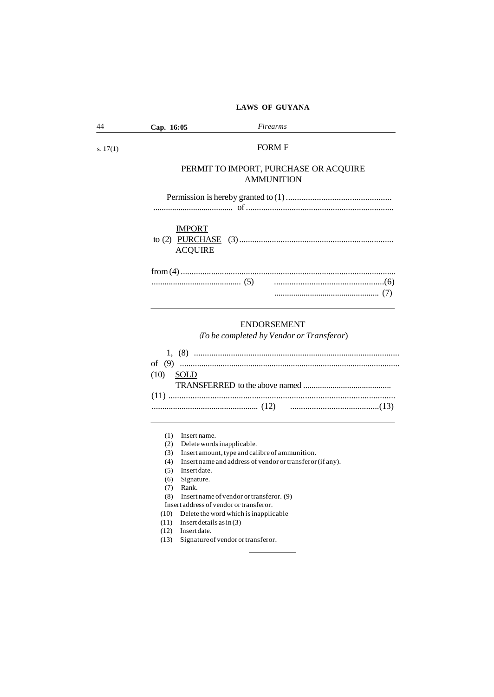| 44         | Cap. 16:05                      | Firearms                                                   |
|------------|---------------------------------|------------------------------------------------------------|
| s. $17(1)$ |                                 | <b>FORM F</b>                                              |
|            |                                 | PERMIT TO IMPORT, PURCHASE OR ACQUIRE<br><b>AMMUNITION</b> |
|            |                                 |                                                            |
|            | <b>IMPORT</b><br><b>ACQUIRE</b> |                                                            |
|            |                                 |                                                            |
|            |                                 | ENIDOD CEMENIT                                             |

# ENDORSEMENT

(*To be completed by Vendor or Transferor*)

|             | 1. (8) $\ldots$ $\ldots$ $\ldots$ $\ldots$ $\ldots$ $\ldots$ $\ldots$ $\ldots$ $\ldots$ $\ldots$ $\ldots$ $\ldots$ $\ldots$ $\ldots$ $\ldots$ $\ldots$ $\ldots$ $\ldots$ $\ldots$ $\ldots$ $\ldots$ $\ldots$ $\ldots$ $\ldots$ $\ldots$ $\ldots$ $\ldots$ $\ldots$ $\ldots$ $\ldots$ $\ldots$ $\ldots$ $\ldots$ $\ldots$ $\ldots$ $\ldots$ |
|-------------|--------------------------------------------------------------------------------------------------------------------------------------------------------------------------------------------------------------------------------------------------------------------------------------------------------------------------------------------|
|             |                                                                                                                                                                                                                                                                                                                                            |
| $(10)$ SOLD |                                                                                                                                                                                                                                                                                                                                            |
|             |                                                                                                                                                                                                                                                                                                                                            |
|             |                                                                                                                                                                                                                                                                                                                                            |
|             |                                                                                                                                                                                                                                                                                                                                            |
|             |                                                                                                                                                                                                                                                                                                                                            |

(1) Insert name.

(2) Deletewordsinapplicable.

(3) Insert amount, type and calibre of ammunition.

(4) Insert name and address of vendor or transferor (if any).

(5) Insertdate.

(6) Signature.

(7) Rank.

(8) Insert name of vendor ortransferor. (9)

Insert address of vendor ortransferor.

(10) Delete the word which isinapplicable

(11) Insert details asin (3)

(12) Insertdate.

(13) Signatureof vendor ortransferor.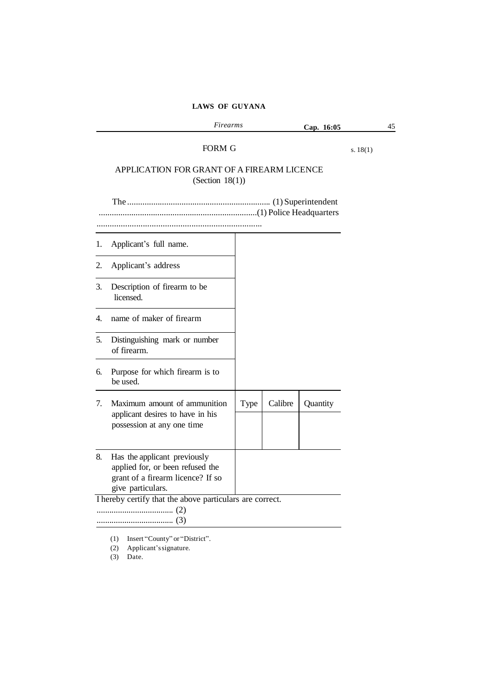|    | Firearms                                                                                                                   |      |         | Cap. 16:05 |            | 45 |
|----|----------------------------------------------------------------------------------------------------------------------------|------|---------|------------|------------|----|
|    | FORM G<br>APPLICATION FOR GRANT OF A FIREARM LICENCE                                                                       |      |         |            | s. $18(1)$ |    |
|    | (Section $18(1)$ )                                                                                                         |      |         |            |            |    |
|    |                                                                                                                            |      |         |            |            |    |
| 1. | Applicant's full name.                                                                                                     |      |         |            |            |    |
| 2. | Applicant's address                                                                                                        |      |         |            |            |    |
| 3. | Description of firearm to be<br>licensed.                                                                                  |      |         |            |            |    |
| 4. | name of maker of firearm                                                                                                   |      |         |            |            |    |
| 5. | Distinguishing mark or number<br>of firearm.                                                                               |      |         |            |            |    |
| 6. | Purpose for which firearm is to<br>be used.                                                                                |      |         |            |            |    |
| 7. | Maximum amount of ammunition<br>applicant desires to have in his<br>possession at any one time                             | Type | Calibre | Quantity   |            |    |
| 8. | Has the applicant previously<br>applied for, or been refused the<br>grant of a firearm licence? If so<br>give particulars. |      |         |            |            |    |
|    | I hereby certify that the above particulars are correct.                                                                   |      |         |            |            |    |

(1) Insert "County" or "District".

(2) Applicant'ssignature.

(3) Date.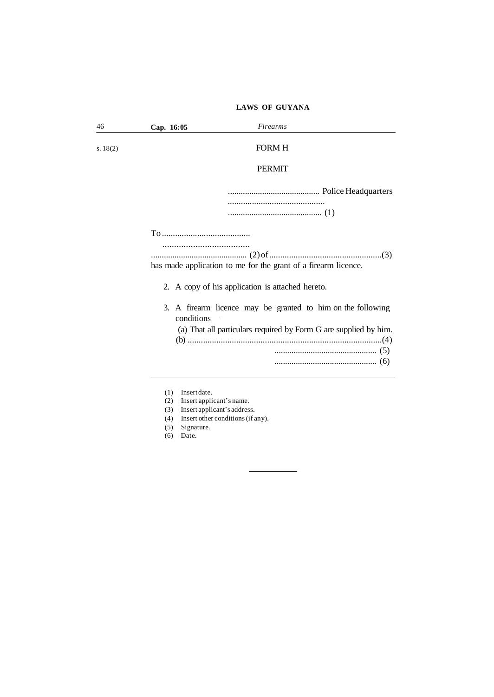| 46         | Firearms<br>Cap. 16:05                                                     |
|------------|----------------------------------------------------------------------------|
| s. $18(2)$ | <b>FORM H</b>                                                              |
|            | <b>PERMIT</b>                                                              |
|            |                                                                            |
|            |                                                                            |
|            |                                                                            |
|            | has made application to me for the grant of a firearm licence.             |
|            | 2. A copy of his application is attached hereto.                           |
|            | 3. A firearm licence may be granted to him on the following<br>conditions- |
|            | (a) That all particulars required by Form G are supplied by him.           |
|            |                                                                            |
|            |                                                                            |
|            | Insert date.<br>(1)<br>Insert applicant's name.<br>(2)                     |

- (3) Insert applicant's address.
- (4) Insert other conditions(if any).

**Contract Contract Contract** 

 $\overline{\phantom{a}}$ 

- (5) Signature.
- (6) Date.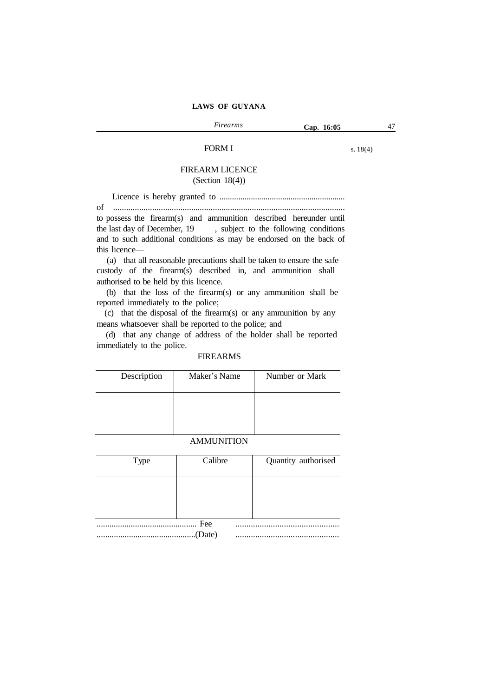## FORM I

s. 18(4)

## FIREARM LICENCE (Section 18(4))

Licence is hereby granted to ............................................................ of ........................................................................................................... to possess the firearm(s) and ammunition described hereunder until the last day of December, 19 , subject to the following conditions and to such additional conditions as may be endorsed on the back of this licence—

(a) that all reasonable precautions shall be taken to ensure the safe custody of the firearm(s) described in, and ammunition shall authorised to be held by this licence.

(b) that the loss of the firearm(s) or any ammunition shall be reported immediately to the police;

(c) that the disposal of the firearm(s) or any ammunition by any means whatsoever shall be reported to the police; and

(d) that any change of address of the holder shall be reported immediately to the police.

## FIREARMS

| Description | Maker's Name | Number or Mark |
|-------------|--------------|----------------|
|             |              |                |
|             |              |                |

## AMMUNITION

| <b>Type</b> | Calibre       | Quantity authorised |
|-------------|---------------|---------------------|
|             |               |                     |
|             |               |                     |
|             | Fee<br>(Date) |                     |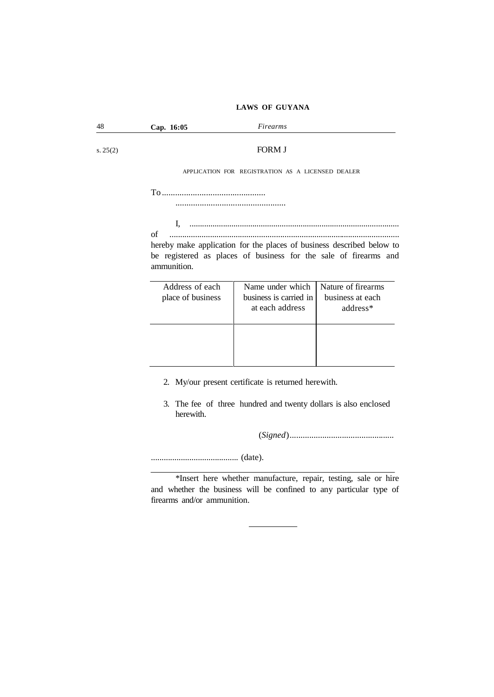| 48       | Cap. 16:05                           | Firearms                                                                                                                                  |                                                    |  |  |  |
|----------|--------------------------------------|-------------------------------------------------------------------------------------------------------------------------------------------|----------------------------------------------------|--|--|--|
| s. 25(2) |                                      | <b>FORM J</b>                                                                                                                             |                                                    |  |  |  |
|          |                                      | APPLICATION FOR REGISTRATION AS A LICENSED DEALER                                                                                         |                                                    |  |  |  |
|          |                                      |                                                                                                                                           |                                                    |  |  |  |
|          | of<br>ammunition.                    | hereby make application for the places of business described below to<br>be registered as places of business for the sale of firearms and |                                                    |  |  |  |
|          | Address of each<br>place of business | Name under which<br>business is carried in<br>at each address                                                                             | Nature of firearms<br>business at each<br>address* |  |  |  |
|          |                                      | 2. My/our present certificate is returned herewith.                                                                                       |                                                    |  |  |  |

3. The fee of three hundred and twenty dollars is also enclosed herewith.

(*Signed*)................................................

......................................... (date).

\*Insert here whether manufacture, repair, testing, sale or hire and whether the business will be confined to any particular type of firearms and/or ammunition.